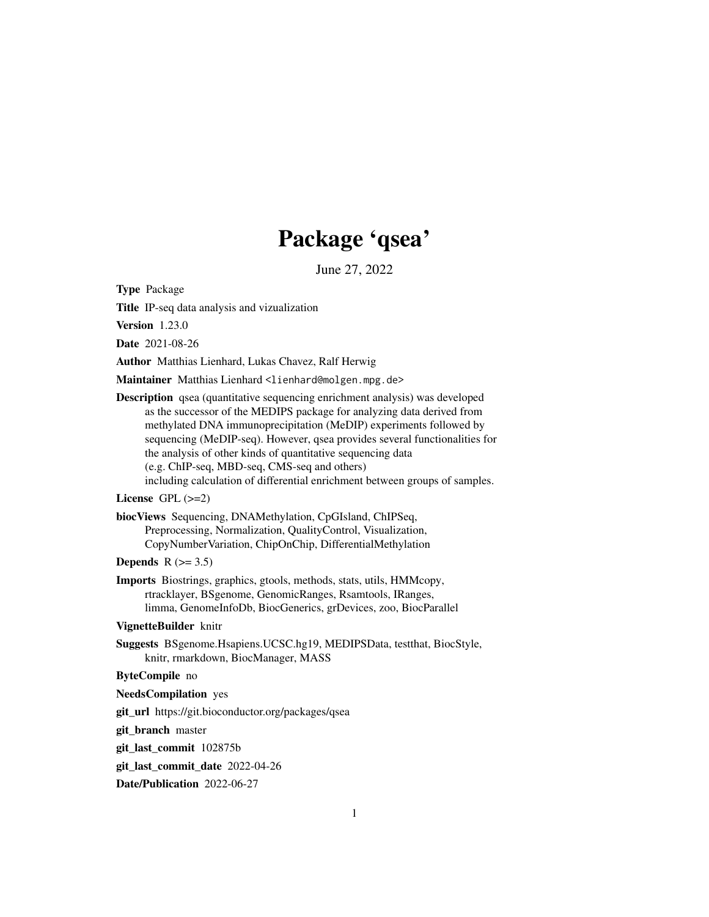# Package 'qsea'

June 27, 2022

Type Package

Title IP-seq data analysis and vizualization

Version 1.23.0

Date 2021-08-26

Author Matthias Lienhard, Lukas Chavez, Ralf Herwig

Maintainer Matthias Lienhard <lienhard@molgen.mpg.de>

Description qsea (quantitative sequencing enrichment analysis) was developed as the successor of the MEDIPS package for analyzing data derived from methylated DNA immunoprecipitation (MeDIP) experiments followed by sequencing (MeDIP-seq). However, qsea provides several functionalities for the analysis of other kinds of quantitative sequencing data (e.g. ChIP-seq, MBD-seq, CMS-seq and others) including calculation of differential enrichment between groups of samples.

#### License  $GPL$  ( $>=2$ )

biocViews Sequencing, DNAMethylation, CpGIsland, ChIPSeq, Preprocessing, Normalization, QualityControl, Visualization, CopyNumberVariation, ChipOnChip, DifferentialMethylation

# Depends  $R$  ( $>= 3.5$ )

Imports Biostrings, graphics, gtools, methods, stats, utils, HMMcopy, rtracklayer, BSgenome, GenomicRanges, Rsamtools, IRanges, limma, GenomeInfoDb, BiocGenerics, grDevices, zoo, BiocParallel

# VignetteBuilder knitr

Suggests BSgenome.Hsapiens.UCSC.hg19, MEDIPSData, testthat, BiocStyle, knitr, rmarkdown, BiocManager, MASS

## ByteCompile no

# NeedsCompilation yes

git\_url https://git.bioconductor.org/packages/qsea

git\_branch master

git\_last\_commit 102875b

git last commit date 2022-04-26

Date/Publication 2022-06-27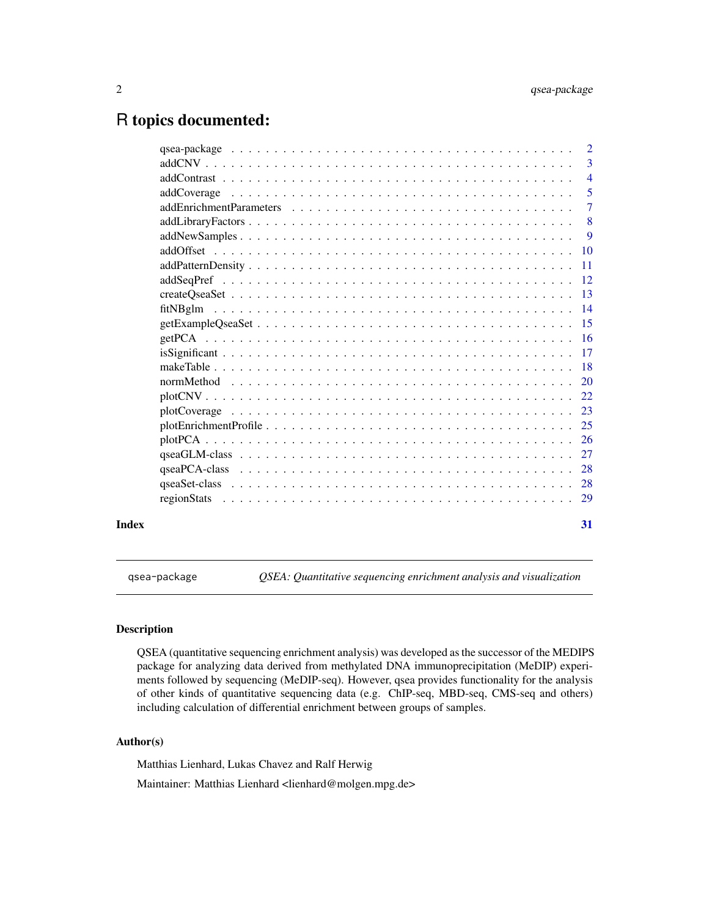# <span id="page-1-0"></span>R topics documented:

|       | $\overline{2}$             |
|-------|----------------------------|
|       | $\overline{3}$             |
|       | $\overline{4}$             |
|       | $\overline{\phantom{0}}$ 5 |
|       | 7                          |
|       | $\sqrt{8}$                 |
|       | $\overline{9}$             |
|       |                            |
|       |                            |
|       |                            |
|       |                            |
|       |                            |
|       |                            |
|       |                            |
|       |                            |
|       |                            |
|       |                            |
|       |                            |
|       |                            |
|       |                            |
|       |                            |
|       |                            |
|       |                            |
|       |                            |
|       |                            |
| Index | 31                         |

qsea-package *QSEA: Quantitative sequencing enrichment analysis and visualization*

# Description

QSEA (quantitative sequencing enrichment analysis) was developed as the successor of the MEDIPS package for analyzing data derived from methylated DNA immunoprecipitation (MeDIP) experiments followed by sequencing (MeDIP-seq). However, qsea provides functionality for the analysis of other kinds of quantitative sequencing data (e.g. ChIP-seq, MBD-seq, CMS-seq and others) including calculation of differential enrichment between groups of samples.

# Author(s)

Matthias Lienhard, Lukas Chavez and Ralf Herwig

Maintainer: Matthias Lienhard <lienhard@molgen.mpg.de>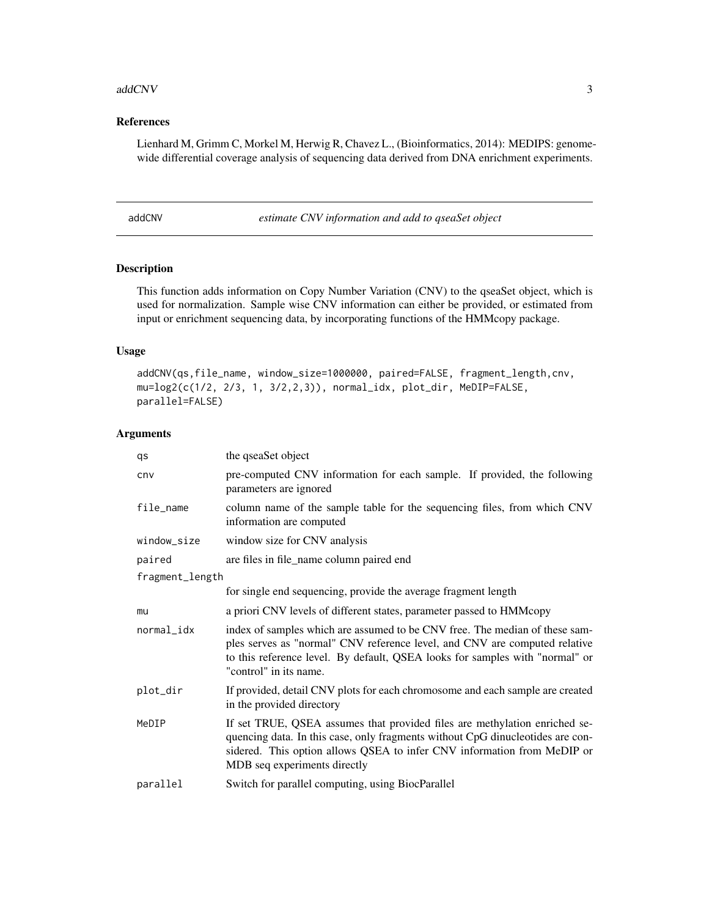#### <span id="page-2-0"></span>add CNV 3

# References

Lienhard M, Grimm C, Morkel M, Herwig R, Chavez L., (Bioinformatics, 2014): MEDIPS: genomewide differential coverage analysis of sequencing data derived from DNA enrichment experiments.

addCNV *estimate CNV information and add to qseaSet object*

# Description

This function adds information on Copy Number Variation (CNV) to the qseaSet object, which is used for normalization. Sample wise CNV information can either be provided, or estimated from input or enrichment sequencing data, by incorporating functions of the HMMcopy package.

# Usage

```
addCNV(qs,file_name, window_size=1000000, paired=FALSE, fragment_length,cnv,
mu=log2(c(1/2, 2/3, 1, 3/2,2,3)), normal_idx, plot_dir, MeDIP=FALSE,
parallel=FALSE)
```
# Arguments

| qs              | the qseaSet object                                                                                                                                                                                                                                                      |
|-----------------|-------------------------------------------------------------------------------------------------------------------------------------------------------------------------------------------------------------------------------------------------------------------------|
| cnv             | pre-computed CNV information for each sample. If provided, the following<br>parameters are ignored                                                                                                                                                                      |
| file_name       | column name of the sample table for the sequencing files, from which CNV<br>information are computed                                                                                                                                                                    |
| window_size     | window size for CNV analysis                                                                                                                                                                                                                                            |
| paired          | are files in file_name column paired end                                                                                                                                                                                                                                |
| fragment_length |                                                                                                                                                                                                                                                                         |
|                 | for single end sequencing, provide the average fragment length                                                                                                                                                                                                          |
| mu              | a priori CNV levels of different states, parameter passed to HMMcopy                                                                                                                                                                                                    |
| normal_idx      | index of samples which are assumed to be CNV free. The median of these sam-<br>ples serves as "normal" CNV reference level, and CNV are computed relative<br>to this reference level. By default, QSEA looks for samples with "normal" or<br>"control" in its name.     |
| plot_dir        | If provided, detail CNV plots for each chromosome and each sample are created<br>in the provided directory                                                                                                                                                              |
| MeDIP           | If set TRUE, QSEA assumes that provided files are methylation enriched se-<br>quencing data. In this case, only fragments without CpG dinucleotides are con-<br>sidered. This option allows QSEA to infer CNV information from MeDIP or<br>MDB seq experiments directly |
| parallel        | Switch for parallel computing, using BiocParallel                                                                                                                                                                                                                       |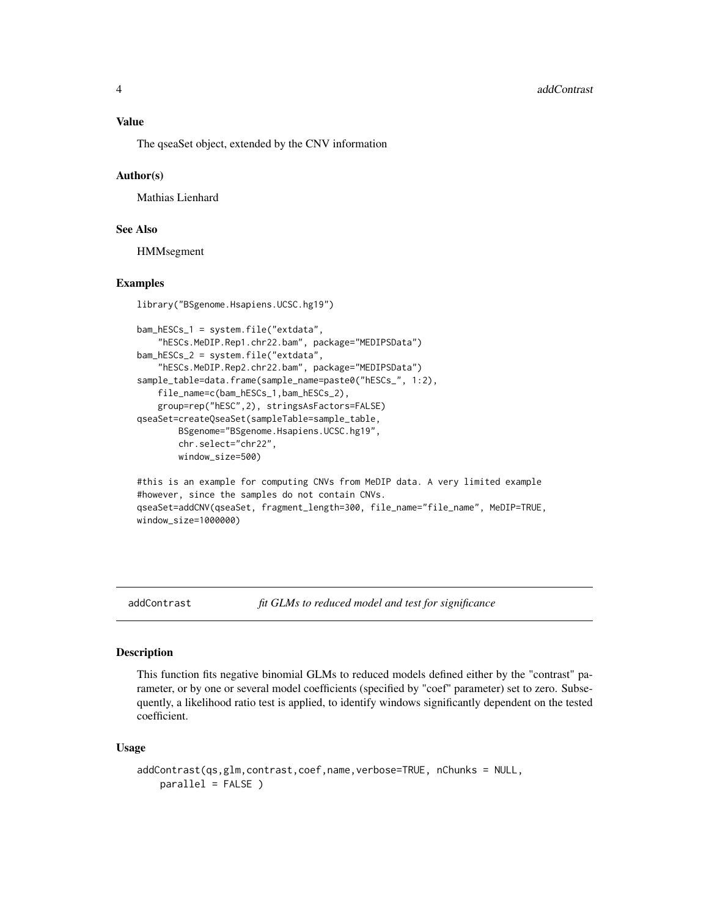# <span id="page-3-0"></span>Value

The qseaSet object, extended by the CNV information

#### Author(s)

Mathias Lienhard

# See Also

HMMsegment

#### Examples

```
library("BSgenome.Hsapiens.UCSC.hg19")
```

```
bam_hESCs_1 = system.file("extdata",
    "hESCs.MeDIP.Rep1.chr22.bam", package="MEDIPSData")
bam_hESCs_2 = system.file("extdata",
    "hESCs.MeDIP.Rep2.chr22.bam", package="MEDIPSData")
sample_table=data.frame(sample_name=paste0("hESCs_", 1:2),
   file_name=c(bam_hESCs_1,bam_hESCs_2),
    group=rep("hESC",2), stringsAsFactors=FALSE)
qseaSet=createQseaSet(sampleTable=sample_table,
       BSgenome="BSgenome.Hsapiens.UCSC.hg19",
       chr.select="chr22",
       window_size=500)
#this is an example for computing CNVs from MeDIP data. A very limited example
```

```
#however, since the samples do not contain CNVs.
qseaSet=addCNV(qseaSet, fragment_length=300, file_name="file_name", MeDIP=TRUE,
window_size=1000000)
```
addContrast *fit GLMs to reduced model and test for significance*

#### Description

This function fits negative binomial GLMs to reduced models defined either by the "contrast" parameter, or by one or several model coefficients (specified by "coef" parameter) set to zero. Subsequently, a likelihood ratio test is applied, to identify windows significantly dependent on the tested coefficient.

#### Usage

```
addContrast(qs,glm,contrast,coef,name,verbose=TRUE, nChunks = NULL,
   parallel = FALSE )
```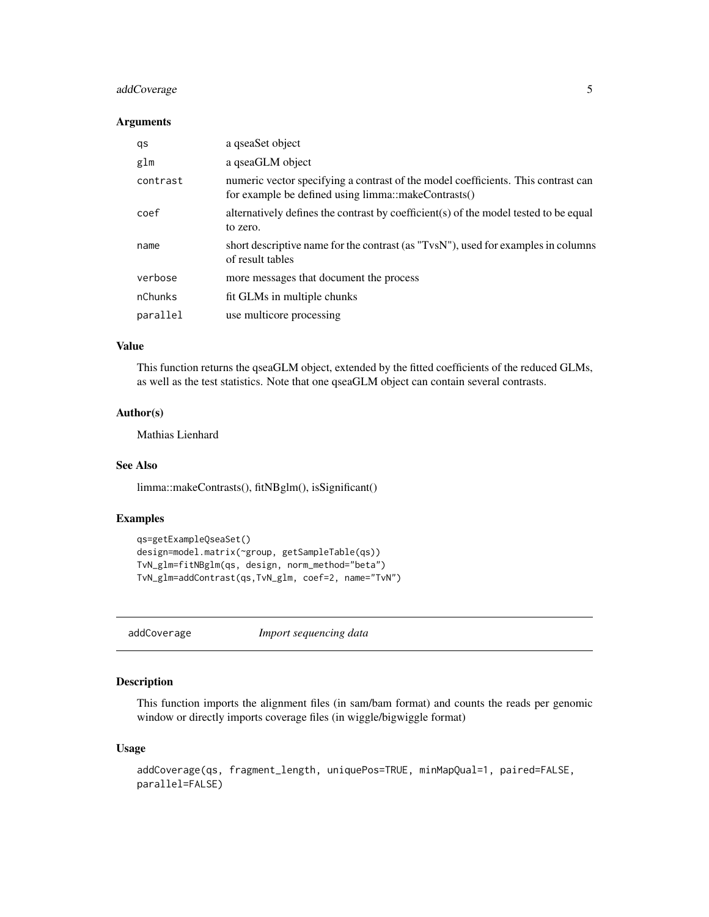# <span id="page-4-0"></span>addCoverage 5

#### Arguments

| qs       | a qseaSet object                                                                                                                         |
|----------|------------------------------------------------------------------------------------------------------------------------------------------|
| glm      | a qseaGLM object                                                                                                                         |
| contrast | numeric vector specifying a contrast of the model coefficients. This contrast can<br>for example be defined using limma::makeContrasts() |
| coef     | alternatively defines the contrast by coefficient(s) of the model tested to be equal<br>to zero.                                         |
| name     | short descriptive name for the contrast (as "TvsN"), used for examples in columns<br>of result tables                                    |
| verbose  | more messages that document the process                                                                                                  |
| nChunks  | fit GLMs in multiple chunks                                                                                                              |
| parallel | use multicore processing                                                                                                                 |

## Value

This function returns the qseaGLM object, extended by the fitted coefficients of the reduced GLMs, as well as the test statistics. Note that one qseaGLM object can contain several contrasts.

# Author(s)

Mathias Lienhard

# See Also

limma::makeContrasts(), fitNBglm(), isSignificant()

# Examples

```
qs=getExampleQseaSet()
design=model.matrix(~group, getSampleTable(qs))
TvN_glm=fitNBglm(qs, design, norm_method="beta")
TvN_glm=addContrast(qs,TvN_glm, coef=2, name="TvN")
```
addCoverage *Import sequencing data*

# Description

This function imports the alignment files (in sam/bam format) and counts the reads per genomic window or directly imports coverage files (in wiggle/bigwiggle format)

#### Usage

```
addCoverage(qs, fragment_length, uniquePos=TRUE, minMapQual=1, paired=FALSE,
parallel=FALSE)
```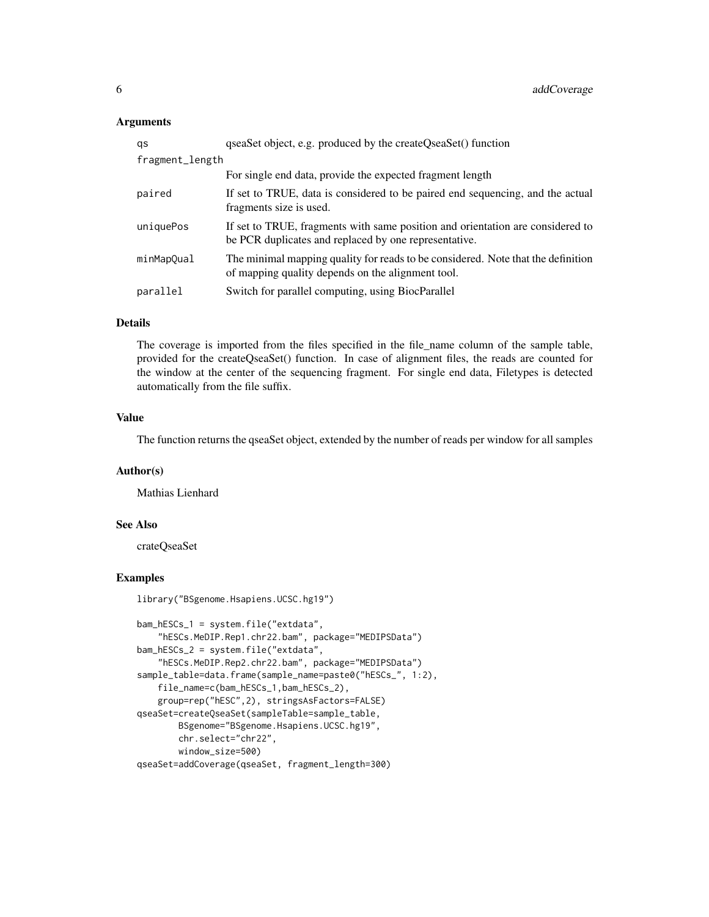#### Arguments

| qs              | qseaSet object, e.g. produced by the createQseaSet() function                                                                           |
|-----------------|-----------------------------------------------------------------------------------------------------------------------------------------|
| fragment_length |                                                                                                                                         |
|                 | For single end data, provide the expected fragment length                                                                               |
| paired          | If set to TRUE, data is considered to be paired end sequencing, and the actual<br>fragments size is used.                               |
| uniquePos       | If set to TRUE, fragments with same position and orientation are considered to<br>be PCR duplicates and replaced by one representative. |
| minMapQual      | The minimal mapping quality for reads to be considered. Note that the definition<br>of mapping quality depends on the alignment tool.   |
| parallel        | Switch for parallel computing, using BiocParallel                                                                                       |
|                 |                                                                                                                                         |

#### Details

The coverage is imported from the files specified in the file\_name column of the sample table, provided for the createQseaSet() function. In case of alignment files, the reads are counted for the window at the center of the sequencing fragment. For single end data, Filetypes is detected automatically from the file suffix.

# Value

The function returns the qseaSet object, extended by the number of reads per window for all samples

# Author(s)

Mathias Lienhard

#### See Also

crateQseaSet

#### Examples

library("BSgenome.Hsapiens.UCSC.hg19")

```
bam_hESCs_1 = system.file("extdata",
    "hESCs.MeDIP.Rep1.chr22.bam", package="MEDIPSData")
bam_hESCs_2 = system.file("extdata",
    "hESCs.MeDIP.Rep2.chr22.bam", package="MEDIPSData")
sample_table=data.frame(sample_name=paste0("hESCs_", 1:2),
   file_name=c(bam_hESCs_1,bam_hESCs_2),
    group=rep("hESC",2), stringsAsFactors=FALSE)
qseaSet=createQseaSet(sampleTable=sample_table,
       BSgenome="BSgenome.Hsapiens.UCSC.hg19",
       chr.select="chr22",
       window_size=500)
qseaSet=addCoverage(qseaSet, fragment_length=300)
```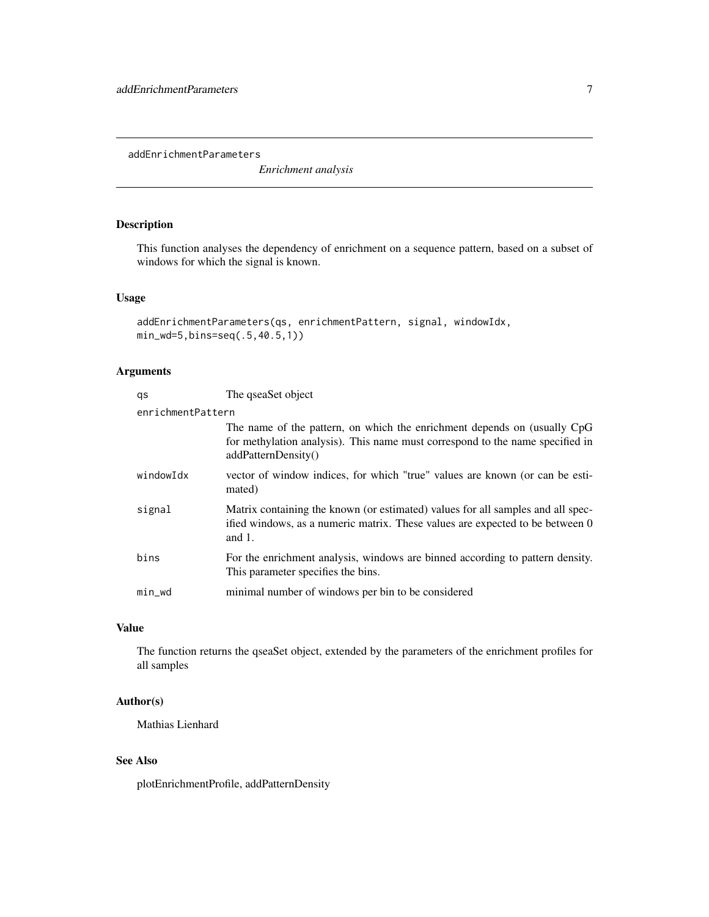<span id="page-6-0"></span>addEnrichmentParameters

*Enrichment analysis*

# Description

This function analyses the dependency of enrichment on a sequence pattern, based on a subset of windows for which the signal is known.

# Usage

```
addEnrichmentParameters(qs, enrichmentPattern, signal, windowIdx,
min_wd=5,bins=seq(.5,40.5,1))
```
# Arguments

| qs                | The gseaSet object                                                                                                                                                               |
|-------------------|----------------------------------------------------------------------------------------------------------------------------------------------------------------------------------|
| enrichmentPattern |                                                                                                                                                                                  |
|                   | The name of the pattern, on which the enrichment depends on (usually CpG<br>for methylation analysis). This name must correspond to the name specified in<br>addPatternDensity() |
| windowIdx         | vector of window indices, for which "true" values are known (or can be esti-<br>mated)                                                                                           |
| signal            | Matrix containing the known (or estimated) values for all samples and all spec-<br>ified windows, as a numeric matrix. These values are expected to be between 0<br>and $1$ .    |
| bins              | For the enrichment analysis, windows are binned according to pattern density.<br>This parameter specifies the bins.                                                              |
| $min_w$           | minimal number of windows per bin to be considered                                                                                                                               |

#### Value

The function returns the qseaSet object, extended by the parameters of the enrichment profiles for all samples

# Author(s)

Mathias Lienhard

# See Also

plotEnrichmentProfile, addPatternDensity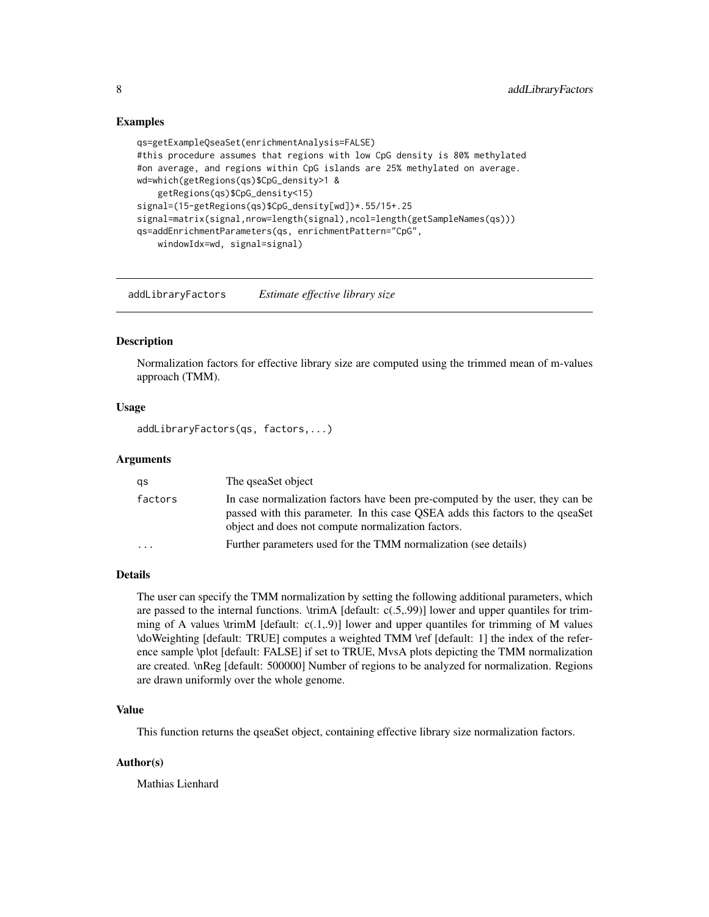#### <span id="page-7-0"></span>Examples

```
qs=getExampleQseaSet(enrichmentAnalysis=FALSE)
#this procedure assumes that regions with low CpG density is 80% methylated
#on average, and regions within CpG islands are 25% methylated on average.
wd=which(getRegions(qs)$CpG_density>1 &
    getRegions(qs)$CpG_density<15)
signal=(15-getRegions(qs)$CpG_density[wd])*.55/15+.25
signal=matrix(signal,nrow=length(signal),ncol=length(getSampleNames(qs)))
qs=addEnrichmentParameters(qs, enrichmentPattern="CpG",
    windowIdx=wd, signal=signal)
```
addLibraryFactors *Estimate effective library size*

#### Description

Normalization factors for effective library size are computed using the trimmed mean of m-values approach (TMM).

#### Usage

addLibraryFactors(qs, factors,...)

#### Arguments

| qs      | The gseaSet object                                                                                                                                                                                                    |
|---------|-----------------------------------------------------------------------------------------------------------------------------------------------------------------------------------------------------------------------|
| factors | In case normalization factors have been pre-computed by the user, they can be<br>passed with this parameter. In this case QSEA adds this factors to the qseaSet<br>object and does not compute normalization factors. |
| .       | Further parameters used for the TMM normalization (see details)                                                                                                                                                       |

# Details

The user can specify the TMM normalization by setting the following additional parameters, which are passed to the internal functions. \trimA [default: c(.5,.99)] lower and upper quantiles for trimming of A values \trimM [default:  $c(.1, .9)$ ] lower and upper quantiles for trimming of M values \doWeighting [default: TRUE] computes a weighted TMM \ref [default: 1] the index of the reference sample \plot [default: FALSE] if set to TRUE, MvsA plots depicting the TMM normalization are created. \nReg [default: 500000] Number of regions to be analyzed for normalization. Regions are drawn uniformly over the whole genome.

# Value

This function returns the qseaSet object, containing effective library size normalization factors.

#### Author(s)

Mathias Lienhard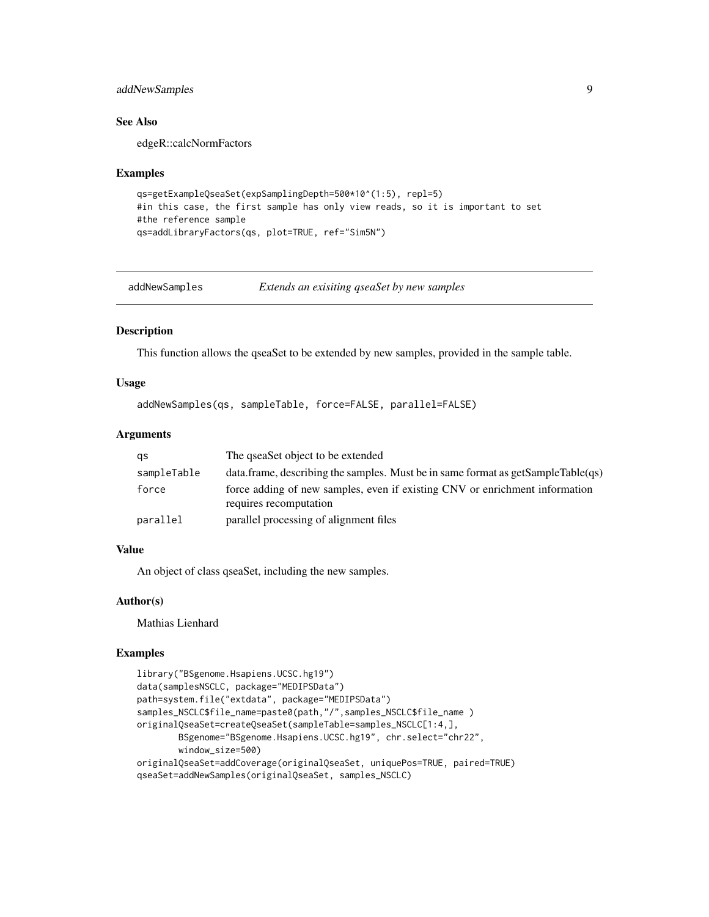# <span id="page-8-0"></span>addNewSamples 9

# See Also

edgeR::calcNormFactors

#### Examples

```
qs=getExampleQseaSet(expSamplingDepth=500*10^(1:5), repl=5)
#in this case, the first sample has only view reads, so it is important to set
#the reference sample
qs=addLibraryFactors(qs, plot=TRUE, ref="Sim5N")
```
addNewSamples *Extends an exisiting qseaSet by new samples*

# Description

This function allows the qseaSet to be extended by new samples, provided in the sample table.

#### Usage

addNewSamples(qs, sampleTable, force=FALSE, parallel=FALSE)

#### Arguments

| qs          | The gseaSet object to be extended                                                                     |
|-------------|-------------------------------------------------------------------------------------------------------|
| sampleTable | data.frame, describing the samples. Must be in same format as $getSampleTable(qs)$                    |
| force       | force adding of new samples, even if existing CNV or enrichment information<br>requires recomputation |
| parallel    | parallel processing of alignment files                                                                |

#### Value

An object of class qseaSet, including the new samples.

### Author(s)

Mathias Lienhard

```
library("BSgenome.Hsapiens.UCSC.hg19")
data(samplesNSCLC, package="MEDIPSData")
path=system.file("extdata", package="MEDIPSData")
samples_NSCLC$file_name=paste0(path,"/",samples_NSCLC$file_name )
originalQseaSet=createQseaSet(sampleTable=samples_NSCLC[1:4,],
       BSgenome="BSgenome.Hsapiens.UCSC.hg19", chr.select="chr22",
       window_size=500)
originalQseaSet=addCoverage(originalQseaSet, uniquePos=TRUE, paired=TRUE)
qseaSet=addNewSamples(originalQseaSet, samples_NSCLC)
```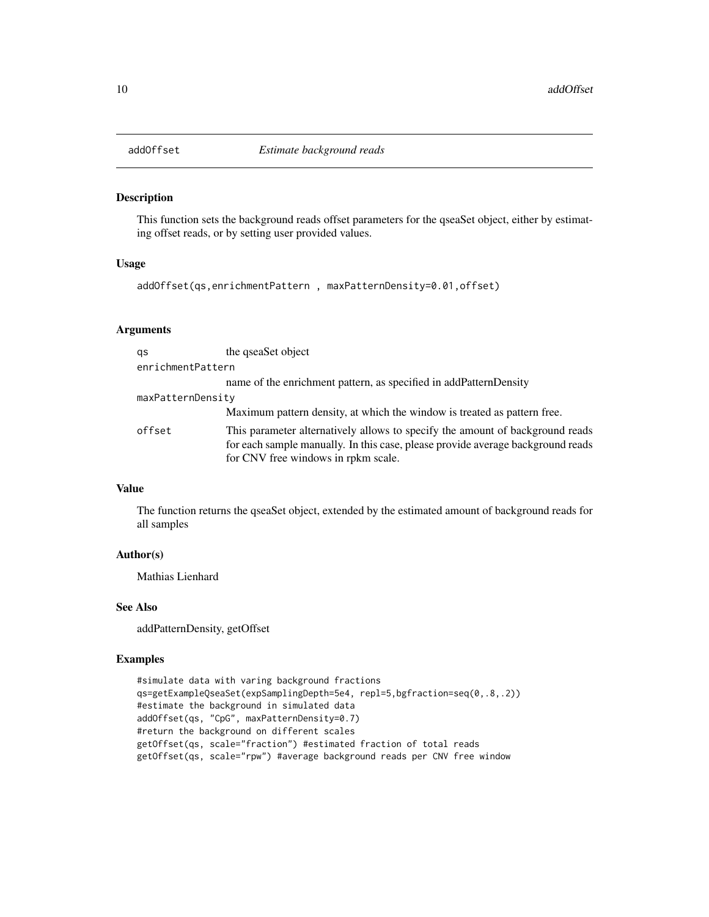<span id="page-9-0"></span>

#### Description

This function sets the background reads offset parameters for the qseaSet object, either by estimating offset reads, or by setting user provided values.

#### Usage

```
addOffset(qs,enrichmentPattern , maxPatternDensity=0.01,offset)
```
#### Arguments

| qs                | the qseaSet object                                                                                                                                                                                      |
|-------------------|---------------------------------------------------------------------------------------------------------------------------------------------------------------------------------------------------------|
| enrichmentPattern |                                                                                                                                                                                                         |
|                   | name of the enrichment pattern, as specified in addPatternDensity                                                                                                                                       |
| maxPatternDensity |                                                                                                                                                                                                         |
|                   | Maximum pattern density, at which the window is treated as pattern free.                                                                                                                                |
| offset            | This parameter alternatively allows to specify the amount of background reads<br>for each sample manually. In this case, please provide average background reads<br>for CNV free windows in rpkm scale. |

#### Value

The function returns the qseaSet object, extended by the estimated amount of background reads for all samples

#### Author(s)

Mathias Lienhard

# See Also

addPatternDensity, getOffset

```
#simulate data with varing background fractions
qs=getExampleQseaSet(expSamplingDepth=5e4, repl=5,bgfraction=seq(0,.8,.2))
#estimate the background in simulated data
addOffset(qs, "CpG", maxPatternDensity=0.7)
#return the background on different scales
getOffset(qs, scale="fraction") #estimated fraction of total reads
getOffset(qs, scale="rpw") #average background reads per CNV free window
```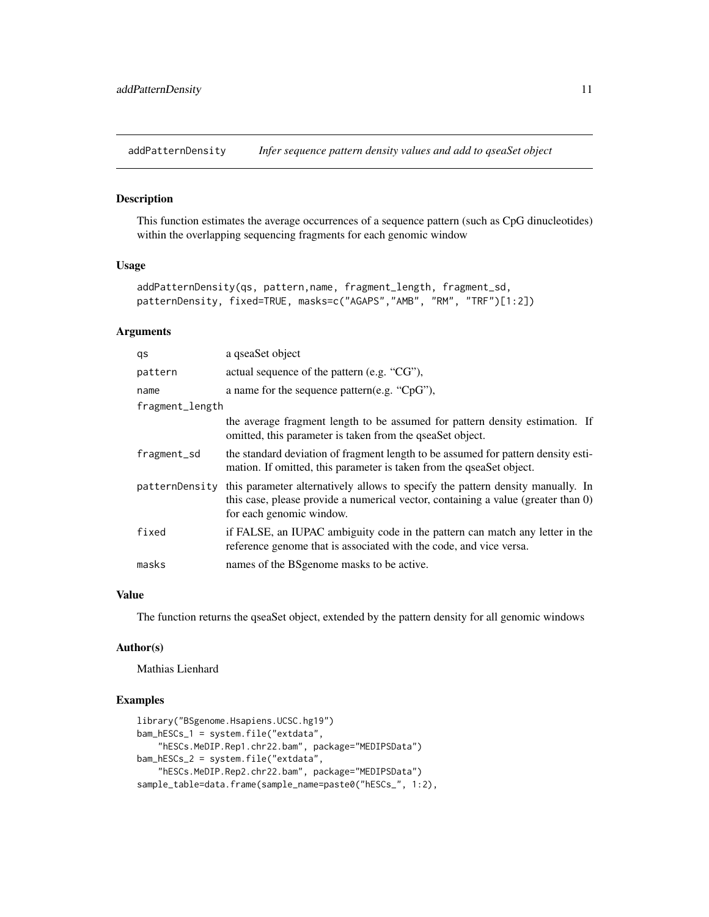<span id="page-10-0"></span>addPatternDensity *Infer sequence pattern density values and add to qseaSet object*

## Description

This function estimates the average occurrences of a sequence pattern (such as CpG dinucleotides) within the overlapping sequencing fragments for each genomic window

#### Usage

```
addPatternDensity(qs, pattern,name, fragment_length, fragment_sd,
patternDensity, fixed=TRUE, masks=c("AGAPS","AMB", "RM", "TRF")[1:2])
```
# Arguments

| qs              | a qseaSet object                                                                                                                                                                                 |
|-----------------|--------------------------------------------------------------------------------------------------------------------------------------------------------------------------------------------------|
| pattern         | actual sequence of the pattern (e.g. "CG"),                                                                                                                                                      |
| name            | a name for the sequence pattern(e.g. "CpG"),                                                                                                                                                     |
| fragment_length |                                                                                                                                                                                                  |
|                 | the average fragment length to be assumed for pattern density estimation. If<br>omitted, this parameter is taken from the qseaSet object.                                                        |
| fragment_sd     | the standard deviation of fragment length to be assumed for pattern density esti-<br>mation. If omitted, this parameter is taken from the qseaSet object.                                        |
| patternDensity  | this parameter alternatively allows to specify the pattern density manually. In<br>this case, please provide a numerical vector, containing a value (greater than 0)<br>for each genomic window. |
| fixed           | if FALSE, an IUPAC ambiguity code in the pattern can match any letter in the<br>reference genome that is associated with the code, and vice versa.                                               |
| masks           | names of the BS genome masks to be active.                                                                                                                                                       |

# Value

The function returns the qseaSet object, extended by the pattern density for all genomic windows

#### Author(s)

Mathias Lienhard

```
library("BSgenome.Hsapiens.UCSC.hg19")
bam_hESCs_1 = system.file("extdata",
    "hESCs.MeDIP.Rep1.chr22.bam", package="MEDIPSData")
bam_hESCs_2 = system.file("extdata",
    "hESCs.MeDIP.Rep2.chr22.bam", package="MEDIPSData")
sample_table=data.frame(sample_name=paste0("hESCs_", 1:2),
```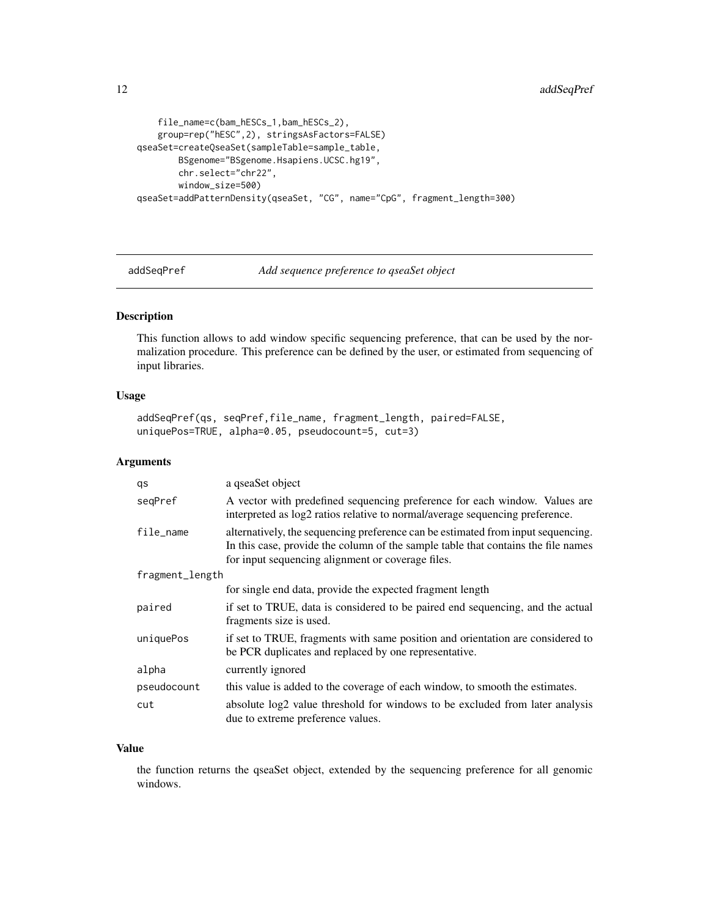```
file_name=c(bam_hESCs_1,bam_hESCs_2),
    group=rep("hESC",2), stringsAsFactors=FALSE)
qseaSet=createQseaSet(sampleTable=sample_table,
       BSgenome="BSgenome.Hsapiens.UCSC.hg19",
       chr.select="chr22",
       window_size=500)
qseaSet=addPatternDensity(qseaSet, "CG", name="CpG", fragment_length=300)
```
addSeqPref *Add sequence preference to qseaSet object*

#### Description

This function allows to add window specific sequencing preference, that can be used by the normalization procedure. This preference can be defined by the user, or estimated from sequencing of input libraries.

# Usage

```
addSeqPref(qs, seqPref,file_name, fragment_length, paired=FALSE,
uniquePos=TRUE, alpha=0.05, pseudocount=5, cut=3)
```
# Arguments

| qs              | a qseaSet object                                                                                                                                                                                                           |
|-----------------|----------------------------------------------------------------------------------------------------------------------------------------------------------------------------------------------------------------------------|
| seqPref         | A vector with predefined sequencing preference for each window. Values are<br>interpreted as log2 ratios relative to normal/average sequencing preference.                                                                 |
| file_name       | alternatively, the sequencing preference can be estimated from input sequencing.<br>In this case, provide the column of the sample table that contains the file names<br>for input sequencing alignment or coverage files. |
| fragment_length |                                                                                                                                                                                                                            |
|                 | for single end data, provide the expected fragment length                                                                                                                                                                  |
| paired          | if set to TRUE, data is considered to be paired end sequencing, and the actual<br>fragments size is used.                                                                                                                  |
| uniquePos       | if set to TRUE, fragments with same position and orientation are considered to<br>be PCR duplicates and replaced by one representative.                                                                                    |
| alpha           | currently ignored                                                                                                                                                                                                          |
| pseudocount     | this value is added to the coverage of each window, to smooth the estimates.                                                                                                                                               |
| cut             | absolute log2 value threshold for windows to be excluded from later analysis<br>due to extreme preference values.                                                                                                          |

#### Value

the function returns the qseaSet object, extended by the sequencing preference for all genomic windows.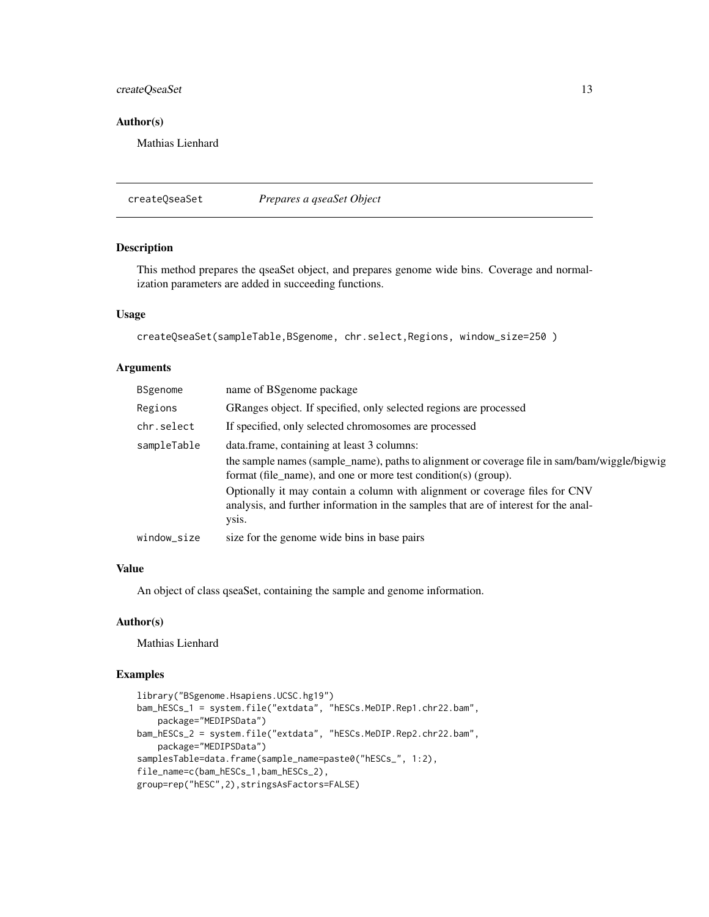# <span id="page-12-0"></span>createQseaSet 13

# Author(s)

Mathias Lienhard

createQseaSet *Prepares a qseaSet Object*

# Description

This method prepares the qseaSet object, and prepares genome wide bins. Coverage and normalization parameters are added in succeeding functions.

#### Usage

```
createQseaSet(sampleTable,BSgenome, chr.select,Regions, window_size=250 )
```
#### Arguments

| <b>BSgenome</b> | name of BSgenome package                                                                                                                                                    |
|-----------------|-----------------------------------------------------------------------------------------------------------------------------------------------------------------------------|
| Regions         | GRanges object. If specified, only selected regions are processed                                                                                                           |
| chr.select      | If specified, only selected chromosomes are processed                                                                                                                       |
| sampleTable     | data.frame, containing at least 3 columns:                                                                                                                                  |
|                 | the sample names (sample_name), paths to alignment or coverage file in sam/bam/wiggle/bigwig<br>format (file_name), and one or more test condition(s) (group).              |
|                 | Optionally it may contain a column with alignment or coverage files for CNV<br>analysis, and further information in the samples that are of interest for the anal-<br>ysis. |
| window_size     | size for the genome wide bins in base pairs                                                                                                                                 |

#### Value

An object of class qseaSet, containing the sample and genome information.

# Author(s)

Mathias Lienhard

```
library("BSgenome.Hsapiens.UCSC.hg19")
bam_hESCs_1 = system.file("extdata", "hESCs.MeDIP.Rep1.chr22.bam",
    package="MEDIPSData")
bam_hESCs_2 = system.file("extdata", "hESCs.MeDIP.Rep2.chr22.bam",
   package="MEDIPSData")
samplesTable=data.frame(sample_name=paste0("hESCs_", 1:2),
file_name=c(bam_hESCs_1,bam_hESCs_2),
group=rep("hESC",2),stringsAsFactors=FALSE)
```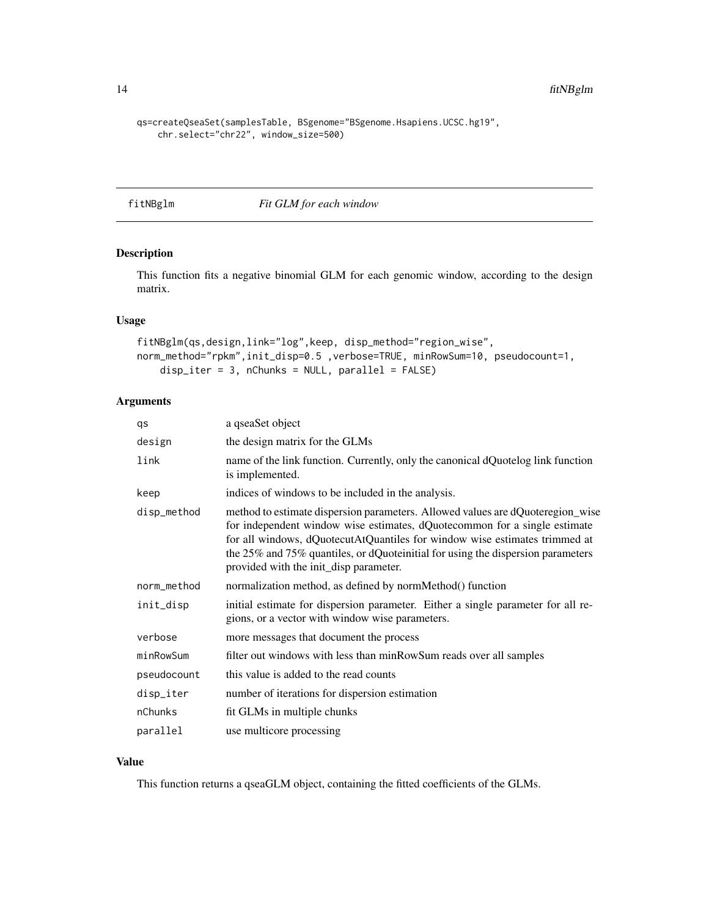```
qs=createQseaSet(samplesTable, BSgenome="BSgenome.Hsapiens.UCSC.hg19",
   chr.select="chr22", window_size=500)
```
#### fitNBglm *Fit GLM for each window*

#### Description

This function fits a negative binomial GLM for each genomic window, according to the design matrix.

# Usage

```
fitNBglm(qs,design,link="log",keep, disp_method="region_wise",
norm_method="rpkm",init_disp=0.5 ,verbose=TRUE, minRowSum=10, pseudocount=1,
   disp_iter = 3, nChunks = NULL, parallel = FALSE)
```
# Arguments

| qs          | a qseaSet object                                                                                                                                                                                                                                                                                                                                                       |
|-------------|------------------------------------------------------------------------------------------------------------------------------------------------------------------------------------------------------------------------------------------------------------------------------------------------------------------------------------------------------------------------|
| design      | the design matrix for the GLMs                                                                                                                                                                                                                                                                                                                                         |
| link        | name of the link function. Currently, only the canonical dQuotelog link function<br>is implemented.                                                                                                                                                                                                                                                                    |
| keep        | indices of windows to be included in the analysis.                                                                                                                                                                                                                                                                                                                     |
| disp_method | method to estimate dispersion parameters. Allowed values are dQuoteregion_wise<br>for independent window wise estimates, dQuotecommon for a single estimate<br>for all windows, dQuotecutAtQuantiles for window wise estimates trimmed at<br>the 25% and 75% quantiles, or dQuoteinitial for using the dispersion parameters<br>provided with the init_disp parameter. |
| norm_method | normalization method, as defined by normMethod() function                                                                                                                                                                                                                                                                                                              |
| init_disp   | initial estimate for dispersion parameter. Either a single parameter for all re-<br>gions, or a vector with window wise parameters.                                                                                                                                                                                                                                    |
| verbose     | more messages that document the process                                                                                                                                                                                                                                                                                                                                |
| minRowSum   | filter out windows with less than minRowSum reads over all samples                                                                                                                                                                                                                                                                                                     |
| pseudocount | this value is added to the read counts                                                                                                                                                                                                                                                                                                                                 |
| disp_iter   | number of iterations for dispersion estimation                                                                                                                                                                                                                                                                                                                         |
| nChunks     | fit GLMs in multiple chunks                                                                                                                                                                                                                                                                                                                                            |
| parallel    | use multicore processing                                                                                                                                                                                                                                                                                                                                               |
|             |                                                                                                                                                                                                                                                                                                                                                                        |

# Value

This function returns a qseaGLM object, containing the fitted coefficients of the GLMs.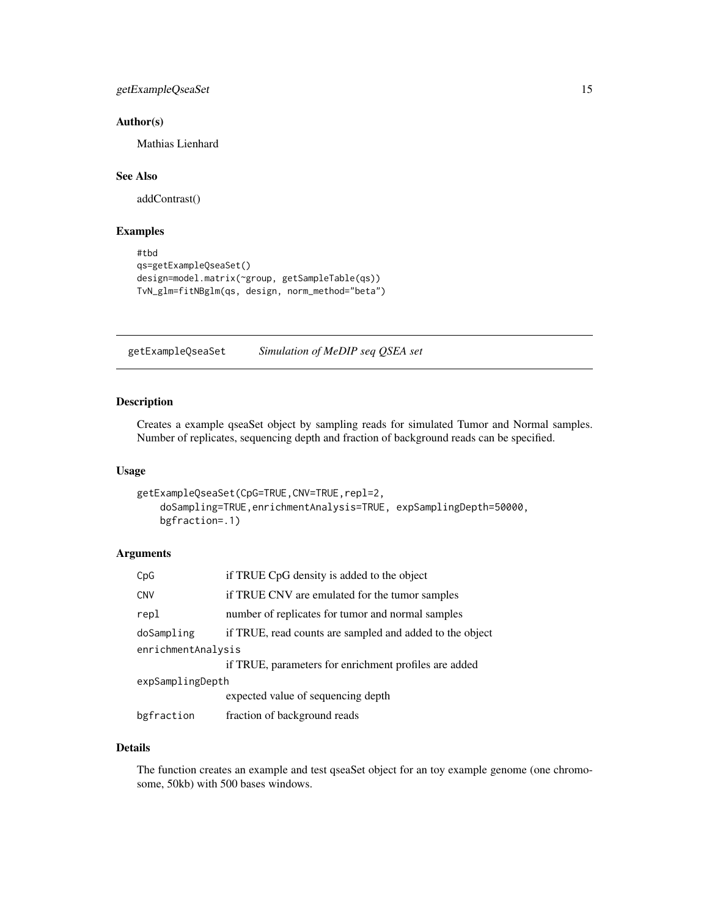# <span id="page-14-0"></span>getExampleQseaSet 15

# Author(s)

Mathias Lienhard

#### See Also

addContrast()

#### Examples

```
#tbd
qs=getExampleQseaSet()
design=model.matrix(~group, getSampleTable(qs))
TvN_glm=fitNBglm(qs, design, norm_method="beta")
```
getExampleQseaSet *Simulation of MeDIP seq QSEA set*

# Description

Creates a example qseaSet object by sampling reads for simulated Tumor and Normal samples. Number of replicates, sequencing depth and fraction of background reads can be specified.

#### Usage

```
getExampleQseaSet(CpG=TRUE,CNV=TRUE,repl=2,
    doSampling=TRUE,enrichmentAnalysis=TRUE, expSamplingDepth=50000,
    bgfraction=.1)
```
# Arguments

| CpG                | if TRUE CpG density is added to the object               |  |
|--------------------|----------------------------------------------------------|--|
| <b>CNV</b>         | if TRUE CNV are emulated for the tumor samples           |  |
| repl               | number of replicates for tumor and normal samples        |  |
| doSampling         | if TRUE, read counts are sampled and added to the object |  |
| enrichmentAnalysis |                                                          |  |
|                    | if TRUE, parameters for enrichment profiles are added    |  |
| expSamplingDepth   |                                                          |  |
|                    | expected value of sequencing depth                       |  |
| bgfraction         | fraction of background reads                             |  |

#### Details

The function creates an example and test qseaSet object for an toy example genome (one chromosome, 50kb) with 500 bases windows.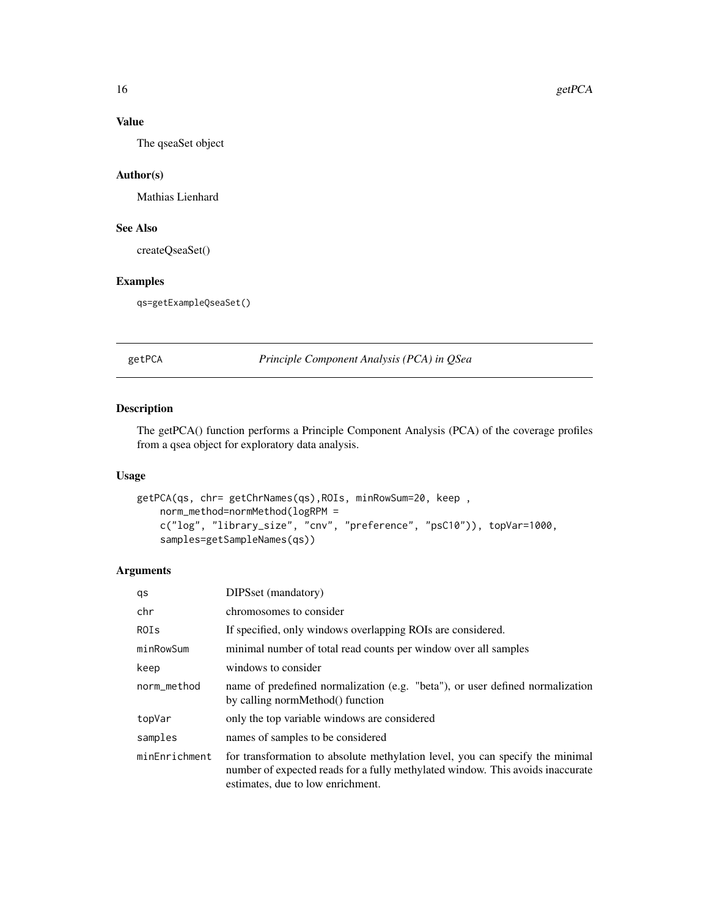# Value

The qseaSet object

# Author(s)

Mathias Lienhard

# See Also

createQseaSet()

# Examples

qs=getExampleQseaSet()

getPCA *Principle Component Analysis (PCA) in QSea*

# Description

The getPCA() function performs a Principle Component Analysis (PCA) of the coverage profiles from a qsea object for exploratory data analysis.

# Usage

```
getPCA(qs, chr= getChrNames(qs),ROIs, minRowSum=20, keep ,
   norm_method=normMethod(logRPM =
   c("log", "library_size", "cnv", "preference", "psC10")), topVar=1000,
    samples=getSampleNames(qs))
```
#### Arguments

| qs            | DIPSset (mandatory)                                                                                                                                                                                  |
|---------------|------------------------------------------------------------------------------------------------------------------------------------------------------------------------------------------------------|
| chr           | chromosomes to consider                                                                                                                                                                              |
| ROIs          | If specified, only windows overlapping ROIs are considered.                                                                                                                                          |
| minRowSum     | minimal number of total read counts per window over all samples                                                                                                                                      |
| keep          | windows to consider                                                                                                                                                                                  |
| norm_method   | name of predefined normalization (e.g. "beta"), or user defined normalization<br>by calling normMethod() function                                                                                    |
| topVar        | only the top variable windows are considered                                                                                                                                                         |
| samples       | names of samples to be considered                                                                                                                                                                    |
| minEnrichment | for transformation to absolute methylation level, you can specify the minimal<br>number of expected reads for a fully methylated window. This avoids inaccurate<br>estimates, due to low enrichment. |

<span id="page-15-0"></span>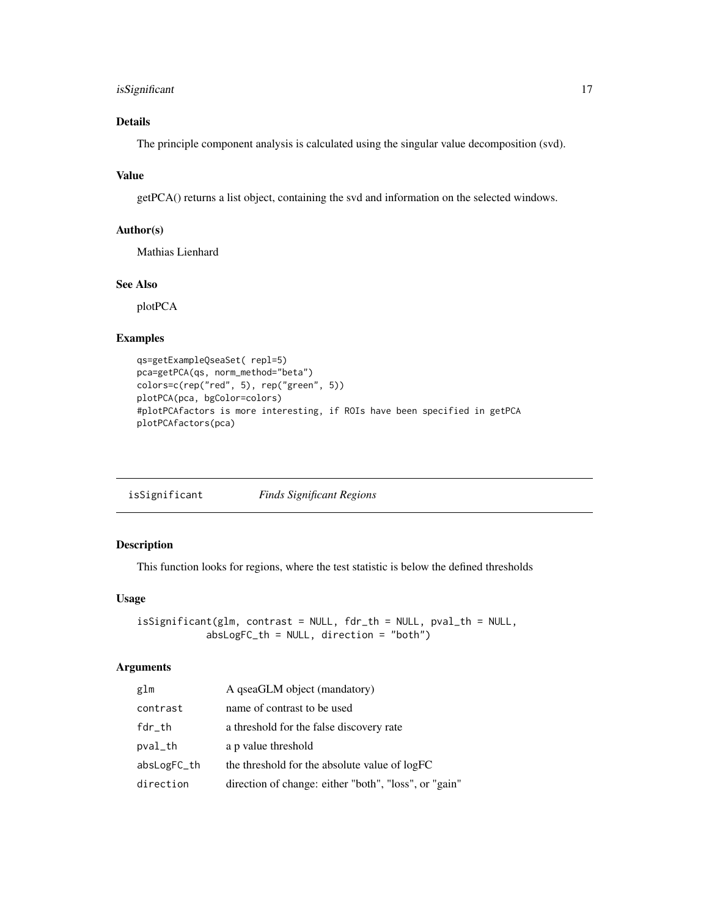# <span id="page-16-0"></span>isSignificant 17

# Details

The principle component analysis is calculated using the singular value decomposition (svd).

# Value

getPCA() returns a list object, containing the svd and information on the selected windows.

# Author(s)

Mathias Lienhard

#### See Also

plotPCA

# Examples

```
qs=getExampleQseaSet( repl=5)
pca=getPCA(qs, norm_method="beta")
colors=c(rep("red", 5), rep("green", 5))
plotPCA(pca, bgColor=colors)
#plotPCAfactors is more interesting, if ROIs have been specified in getPCA
plotPCAfactors(pca)
```

| isSignificant | <b>Finds Significant Regions</b> |
|---------------|----------------------------------|
|               |                                  |

# Description

This function looks for regions, where the test statistic is below the defined thresholds

# Usage

```
isSignificant(glm, contrast = NULL, fdr_th = NULL, pval_th = NULL,
            absLogFC_th = NULL, direction = "both")
```
#### Arguments

| glm         | A qseaGLM object (mandatory)                          |
|-------------|-------------------------------------------------------|
| contrast    | name of contrast to be used                           |
| fdr_th      | a threshold for the false discovery rate              |
| pval_th     | a p value threshold                                   |
| absLogFC_th | the threshold for the absolute value of logFC         |
| direction   | direction of change: either "both", "loss", or "gain" |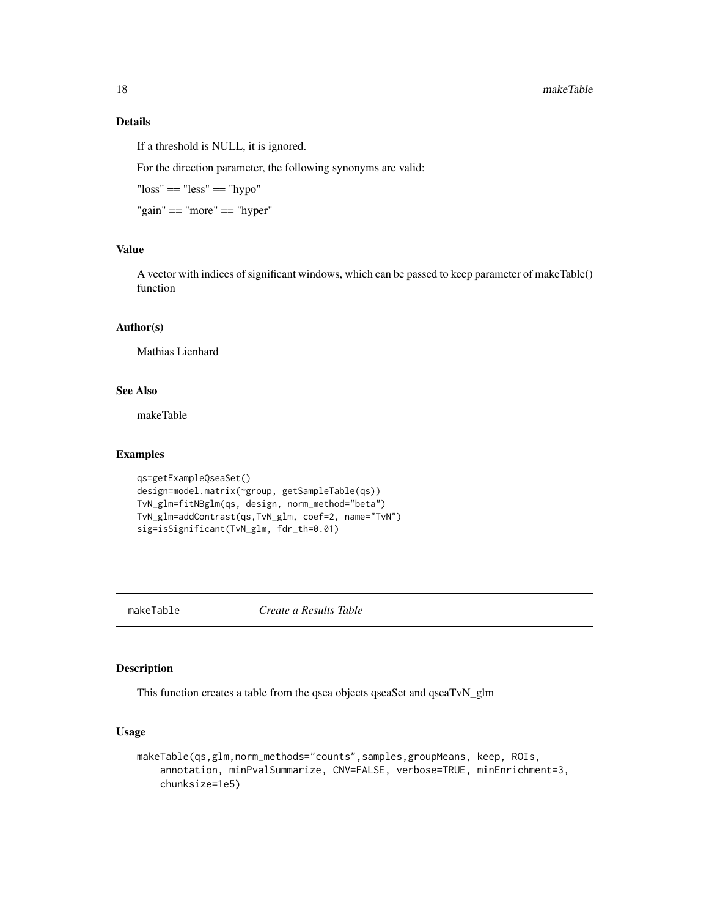# Details

If a threshold is NULL, it is ignored.

For the direction parameter, the following synonyms are valid:

" $loss" == "less" == "hypo"$ 

"gain"  $==$  "more"  $==$  "hyper"

# Value

A vector with indices of significant windows, which can be passed to keep parameter of makeTable() function

#### Author(s)

Mathias Lienhard

#### See Also

makeTable

#### Examples

```
qs=getExampleQseaSet()
design=model.matrix(~group, getSampleTable(qs))
TvN_glm=fitNBglm(qs, design, norm_method="beta")
TvN_glm=addContrast(qs,TvN_glm, coef=2, name="TvN")
sig=isSignificant(TvN_glm, fdr_th=0.01)
```
makeTable *Create a Results Table*

# Description

This function creates a table from the qsea objects qseaSet and qseaTvN\_glm

# Usage

```
makeTable(qs,glm,norm_methods="counts",samples,groupMeans, keep, ROIs,
   annotation, minPvalSummarize, CNV=FALSE, verbose=TRUE, minEnrichment=3,
   chunksize=1e5)
```
<span id="page-17-0"></span>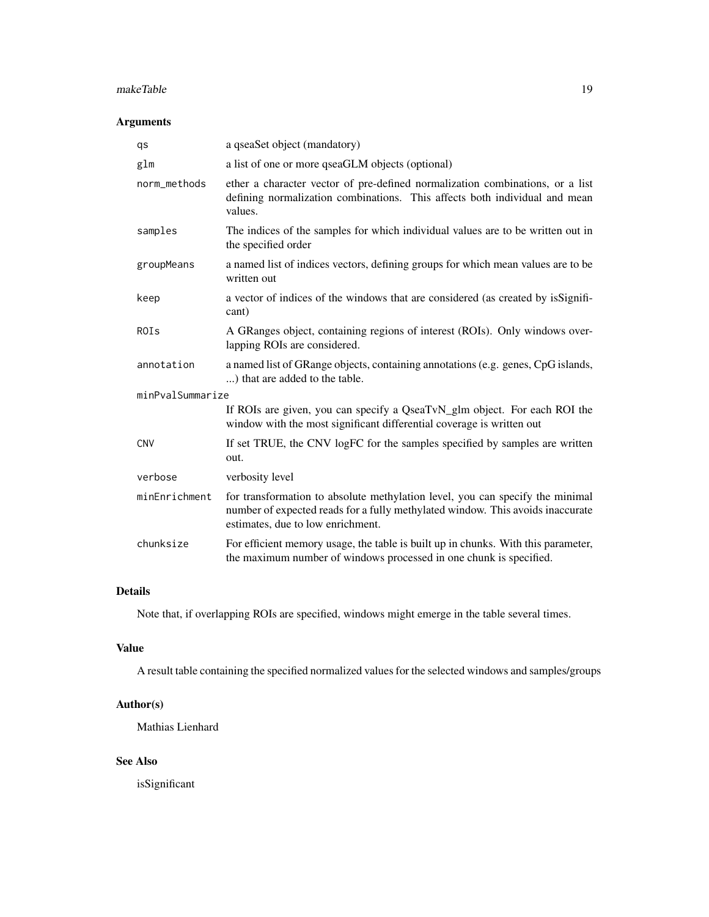#### makeTable 19

# Arguments

| qs               | a qseaSet object (mandatory)                                                                                                                                                                         |
|------------------|------------------------------------------------------------------------------------------------------------------------------------------------------------------------------------------------------|
| glm              | a list of one or more qseaGLM objects (optional)                                                                                                                                                     |
| norm_methods     | ether a character vector of pre-defined normalization combinations, or a list<br>defining normalization combinations. This affects both individual and mean<br>values.                               |
| samples          | The indices of the samples for which individual values are to be written out in<br>the specified order                                                                                               |
| groupMeans       | a named list of indices vectors, defining groups for which mean values are to be<br>written out                                                                                                      |
| keep             | a vector of indices of the windows that are considered (as created by isSignifi-<br>cant)                                                                                                            |
| <b>ROIS</b>      | A GRanges object, containing regions of interest (ROIs). Only windows over-<br>lapping ROIs are considered.                                                                                          |
| annotation       | a named list of GRange objects, containing annotations (e.g. genes, CpG islands,<br>) that are added to the table.                                                                                   |
| minPvalSummarize |                                                                                                                                                                                                      |
|                  | If ROIs are given, you can specify a QseaTvN_glm object. For each ROI the<br>window with the most significant differential coverage is written out                                                   |
| <b>CNV</b>       | If set TRUE, the CNV logFC for the samples specified by samples are written<br>out.                                                                                                                  |
| verbose          | verbosity level                                                                                                                                                                                      |
| minEnrichment    | for transformation to absolute methylation level, you can specify the minimal<br>number of expected reads for a fully methylated window. This avoids inaccurate<br>estimates, due to low enrichment. |
| chunksize        | For efficient memory usage, the table is built up in chunks. With this parameter,<br>the maximum number of windows processed in one chunk is specified.                                              |

# Details

Note that, if overlapping ROIs are specified, windows might emerge in the table several times.

## Value

A result table containing the specified normalized values for the selected windows and samples/groups

# Author(s)

Mathias Lienhard

# See Also

isSignificant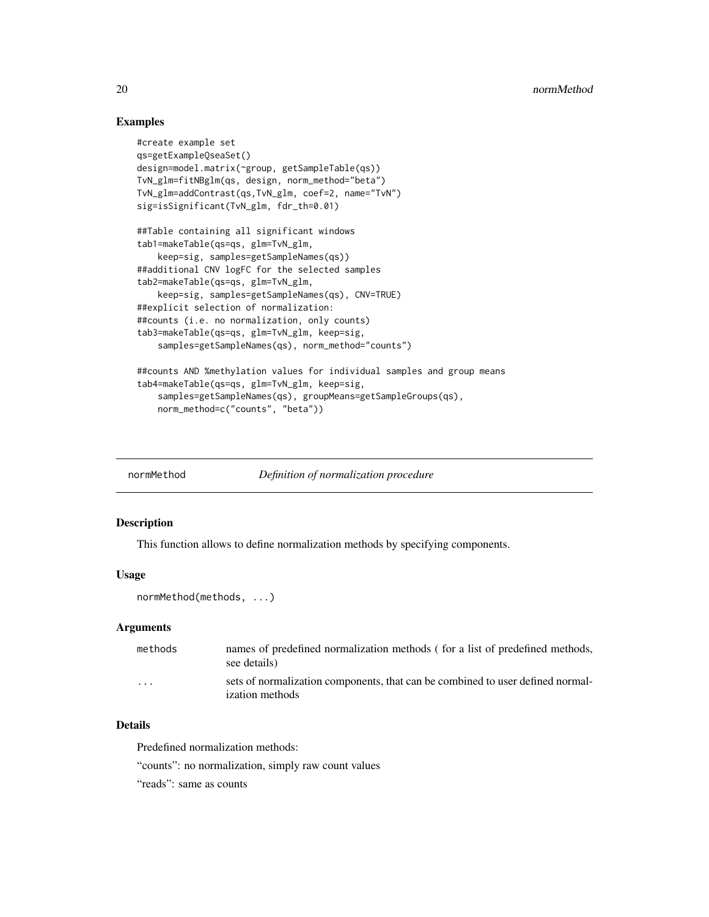# Examples

```
#create example set
qs=getExampleQseaSet()
design=model.matrix(~group, getSampleTable(qs))
TvN_glm=fitNBglm(qs, design, norm_method="beta")
TvN_glm=addContrast(qs,TvN_glm, coef=2, name="TvN")
sig=isSignificant(TvN_glm, fdr_th=0.01)
##Table containing all significant windows
tab1=makeTable(qs=qs, glm=TvN_glm,
    keep=sig, samples=getSampleNames(qs))
##additional CNV logFC for the selected samples
tab2=makeTable(qs=qs, glm=TvN_glm,
   keep=sig, samples=getSampleNames(qs), CNV=TRUE)
##explicit selection of normalization:
##counts (i.e. no normalization, only counts)
tab3=makeTable(qs=qs, glm=TvN_glm, keep=sig,
    samples=getSampleNames(qs), norm_method="counts")
##counts AND %methylation values for individual samples and group means
tab4=makeTable(qs=qs, glm=TvN_glm, keep=sig,
    samples=getSampleNames(qs), groupMeans=getSampleGroups(qs),
    norm_method=c("counts", "beta"))
```

| normMethod | Definition of normalization procedure |  |
|------------|---------------------------------------|--|
|            |                                       |  |

# Description

This function allows to define normalization methods by specifying components.

#### Usage

```
normMethod(methods, ...)
```
#### Arguments

| methods                 | names of predefined normalization methods (for a list of predefined methods,<br>see details)      |
|-------------------------|---------------------------------------------------------------------------------------------------|
| $\cdot$ $\cdot$ $\cdot$ | sets of normalization components, that can be combined to user defined normal-<br>ization methods |

# Details

Predefined normalization methods:

"counts": no normalization, simply raw count values

"reads": same as counts

<span id="page-19-0"></span>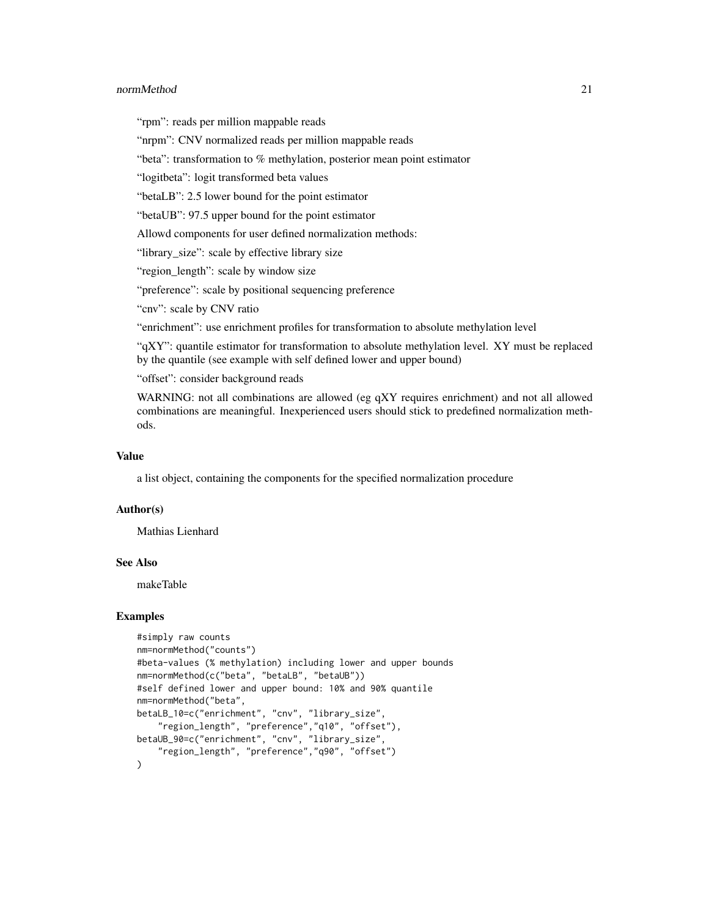#### normMethod 21

"rpm": reads per million mappable reads

"nrpm": CNV normalized reads per million mappable reads

"beta": transformation to % methylation, posterior mean point estimator

"logitbeta": logit transformed beta values

"betaLB": 2.5 lower bound for the point estimator

"betaUB": 97.5 upper bound for the point estimator

Allowd components for user defined normalization methods:

"library\_size": scale by effective library size

"region\_length": scale by window size

"preference": scale by positional sequencing preference

"cnv": scale by CNV ratio

"enrichment": use enrichment profiles for transformation to absolute methylation level

"qXY": quantile estimator for transformation to absolute methylation level. XY must be replaced by the quantile (see example with self defined lower and upper bound)

"offset": consider background reads

WARNING: not all combinations are allowed (eg qXY requires enrichment) and not all allowed combinations are meaningful. Inexperienced users should stick to predefined normalization methods.

#### Value

a list object, containing the components for the specified normalization procedure

#### Author(s)

Mathias Lienhard

#### See Also

makeTable

```
#simply raw counts
nm=normMethod("counts")
#beta-values (% methylation) including lower and upper bounds
nm=normMethod(c("beta", "betaLB", "betaUB"))
#self defined lower and upper bound: 10% and 90% quantile
nm=normMethod("beta",
betaLB_10=c("enrichment", "cnv", "library_size",
    "region_length", "preference","q10", "offset"),
betaUB_90=c("enrichment", "cnv", "library_size",
    "region_length", "preference","q90", "offset")
)
```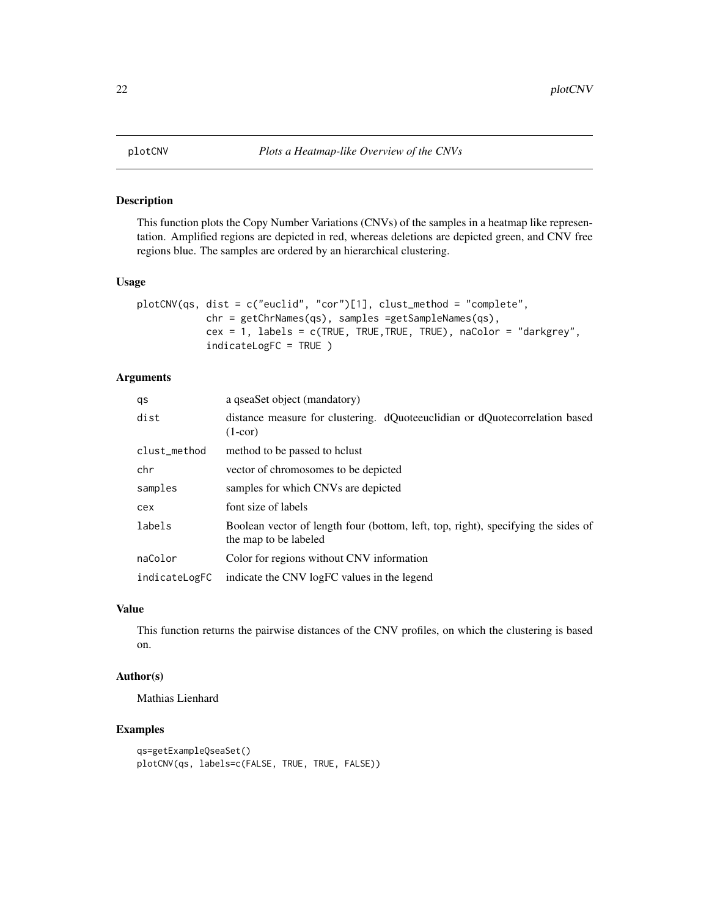<span id="page-21-0"></span>

#### Description

This function plots the Copy Number Variations (CNVs) of the samples in a heatmap like representation. Amplified regions are depicted in red, whereas deletions are depicted green, and CNV free regions blue. The samples are ordered by an hierarchical clustering.

## Usage

```
plotCNV(qs, dist = c("euclid", "cor")[1], clust_method = "complete",
            chr = getChrNames(qs), samples =getSampleNames(qs),
            cex = 1, labels = c(TRUE, TRUE, TRUE, TRUE), naColor = "darkgrey",
            indicateLogFC = TRUE )
```
# Arguments

| qs            | a qseaSet object (mandatory)                                                                               |
|---------------|------------------------------------------------------------------------------------------------------------|
| dist          | distance measure for clustering. dQuoteeuclidian or dQuotecorrelation based<br>$(1$ -cor $)$               |
| clust_method  | method to be passed to holyst                                                                              |
| chr           | vector of chromosomes to be depicted                                                                       |
| samples       | samples for which CNVs are depicted                                                                        |
| cex           | font size of labels                                                                                        |
| labels        | Boolean vector of length four (bottom, left, top, right), specifying the sides of<br>the map to be labeled |
| naColor       | Color for regions without CNV information                                                                  |
| indicateLogFC | indicate the CNV logFC values in the legend                                                                |

#### Value

This function returns the pairwise distances of the CNV profiles, on which the clustering is based on.

# Author(s)

Mathias Lienhard

```
qs=getExampleQseaSet()
plotCNV(qs, labels=c(FALSE, TRUE, TRUE, FALSE))
```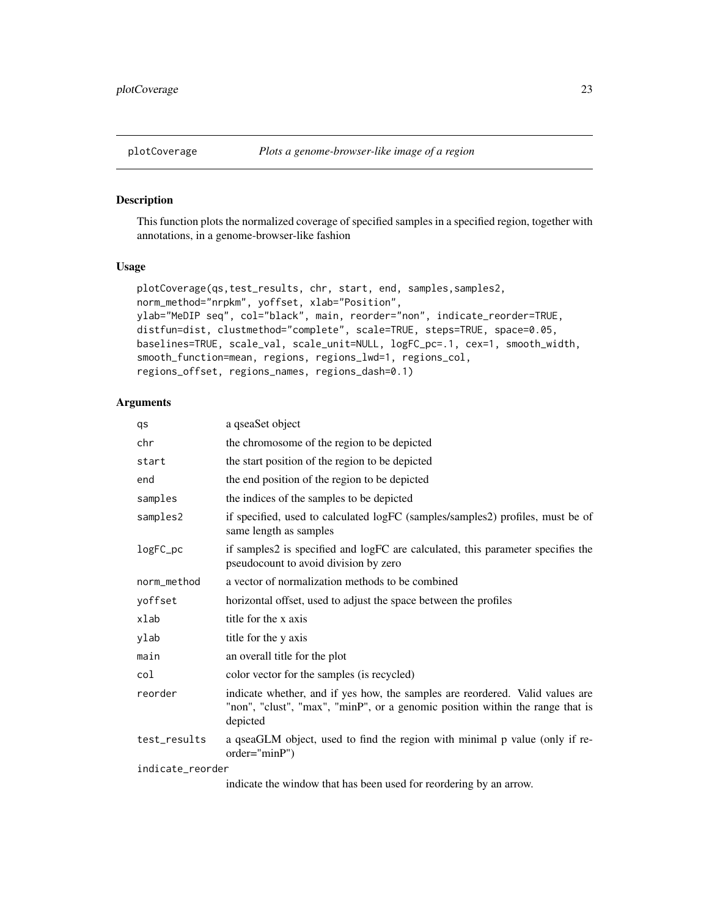## <span id="page-22-0"></span>Description

This function plots the normalized coverage of specified samples in a specified region, together with annotations, in a genome-browser-like fashion

# Usage

```
plotCoverage(qs,test_results, chr, start, end, samples,samples2,
norm_method="nrpkm", yoffset, xlab="Position",
ylab="MeDIP seq", col="black", main, reorder="non", indicate_reorder=TRUE,
distfun=dist, clustmethod="complete", scale=TRUE, steps=TRUE, space=0.05,
baselines=TRUE, scale_val, scale_unit=NULL, logFC_pc=.1, cex=1, smooth_width,
smooth_function=mean, regions, regions_lwd=1, regions_col,
regions_offset, regions_names, regions_dash=0.1)
```
# Arguments

| qs               | a qseaSet object                                                                                                                                                           |
|------------------|----------------------------------------------------------------------------------------------------------------------------------------------------------------------------|
| chr              | the chromosome of the region to be depicted                                                                                                                                |
| start            | the start position of the region to be depicted                                                                                                                            |
| end              | the end position of the region to be depicted                                                                                                                              |
| samples          | the indices of the samples to be depicted                                                                                                                                  |
| samples2         | if specified, used to calculated logFC (samples/samples2) profiles, must be of<br>same length as samples                                                                   |
| logFC_pc         | if samples2 is specified and logFC are calculated, this parameter specifies the<br>pseudocount to avoid division by zero                                                   |
| norm_method      | a vector of normalization methods to be combined                                                                                                                           |
| yoffset          | horizontal offset, used to adjust the space between the profiles                                                                                                           |
| xlab             | title for the x axis                                                                                                                                                       |
| ylab             | title for the y axis                                                                                                                                                       |
| main             | an overall title for the plot                                                                                                                                              |
| col              | color vector for the samples (is recycled)                                                                                                                                 |
| reorder          | indicate whether, and if yes how, the samples are reordered. Valid values are<br>"non", "clust", "max", "minP", or a genomic position within the range that is<br>depicted |
| test_results     | a qseaGLM object, used to find the region with minimal p value (only if re-<br>$order="minP")$                                                                             |
| indicate_reorder |                                                                                                                                                                            |
|                  | indicate the window that has been used for reordering by an arrow.                                                                                                         |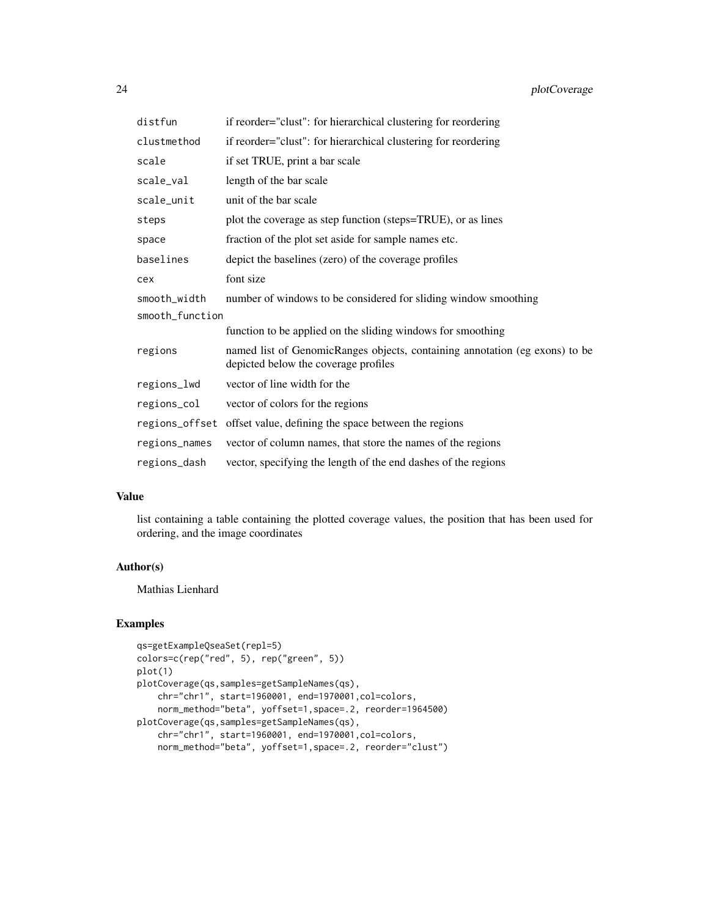| distfun         | if reorder="clust": for hierarchical clustering for reordering                                                      |
|-----------------|---------------------------------------------------------------------------------------------------------------------|
| clustmethod     | if reorder="clust": for hierarchical clustering for reordering                                                      |
| scale           | if set TRUE, print a bar scale                                                                                      |
| scale_val       | length of the bar scale                                                                                             |
| scale_unit      | unit of the bar scale                                                                                               |
| steps           | plot the coverage as step function (steps=TRUE), or as lines                                                        |
| space           | fraction of the plot set aside for sample names etc.                                                                |
| baselines       | depict the baselines (zero) of the coverage profiles                                                                |
| cex             | font size                                                                                                           |
| smooth_width    | number of windows to be considered for sliding window smoothing                                                     |
| smooth_function |                                                                                                                     |
|                 | function to be applied on the sliding windows for smoothing                                                         |
| regions         | named list of GenomicRanges objects, containing annotation (eg exons) to be<br>depicted below the coverage profiles |
| regions_lwd     | vector of line width for the                                                                                        |
| regions_col     | vector of colors for the regions                                                                                    |
| regions_offset  | offset value, defining the space between the regions                                                                |
| regions_names   | vector of column names, that store the names of the regions                                                         |
| regions_dash    | vector, specifying the length of the end dashes of the regions                                                      |

# Value

list containing a table containing the plotted coverage values, the position that has been used for ordering, and the image coordinates

# Author(s)

Mathias Lienhard

```
qs=getExampleQseaSet(repl=5)
colors=c(rep("red", 5), rep("green", 5))
plot(1)
plotCoverage(qs,samples=getSampleNames(qs),
    chr="chr1", start=1960001, end=1970001,col=colors,
    norm_method="beta", yoffset=1,space=.2, reorder=1964500)
plotCoverage(qs,samples=getSampleNames(qs),
    chr="chr1", start=1960001, end=1970001,col=colors,
    norm_method="beta", yoffset=1,space=.2, reorder="clust")
```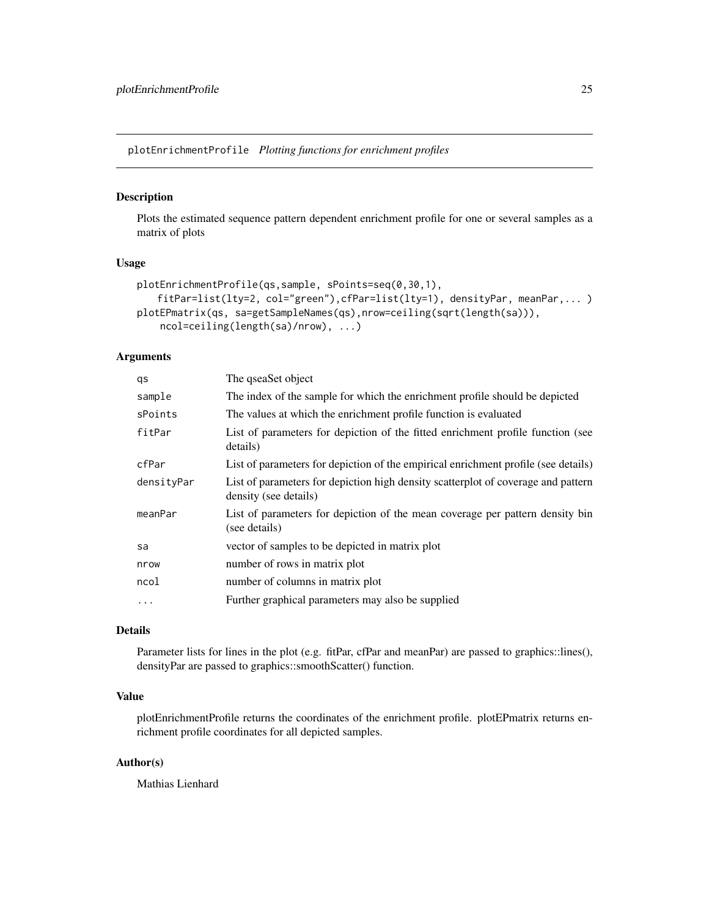<span id="page-24-0"></span>plotEnrichmentProfile *Plotting functions for enrichment profiles*

# Description

Plots the estimated sequence pattern dependent enrichment profile for one or several samples as a matrix of plots

#### Usage

```
plotEnrichmentProfile(qs,sample, sPoints=seq(0,30,1),
   fitPar=list(lty=2, col="green"),cfPar=list(lty=1), densityPar, meanPar,...)
plotEPmatrix(qs, sa=getSampleNames(qs),nrow=ceiling(sqrt(length(sa))),
   ncol=ceiling(length(sa)/nrow), ...)
```
# Arguments

| The qseaSet object                                                                                         |
|------------------------------------------------------------------------------------------------------------|
| The index of the sample for which the enrichment profile should be depicted                                |
| The values at which the enrichment profile function is evaluated                                           |
| List of parameters for depiction of the fitted enrichment profile function (see<br>details)                |
| List of parameters for depiction of the empirical enrichment profile (see details)                         |
| List of parameters for depiction high density scatterplot of coverage and pattern<br>density (see details) |
| List of parameters for depiction of the mean coverage per pattern density bin<br>(see details)             |
| vector of samples to be depicted in matrix plot                                                            |
| number of rows in matrix plot                                                                              |
| number of columns in matrix plot                                                                           |
| Further graphical parameters may also be supplied                                                          |
|                                                                                                            |

# Details

Parameter lists for lines in the plot (e.g. fitPar, cfPar and meanPar) are passed to graphics::lines(), densityPar are passed to graphics::smoothScatter() function.

# Value

plotEnrichmentProfile returns the coordinates of the enrichment profile. plotEPmatrix returns enrichment profile coordinates for all depicted samples.

## Author(s)

Mathias Lienhard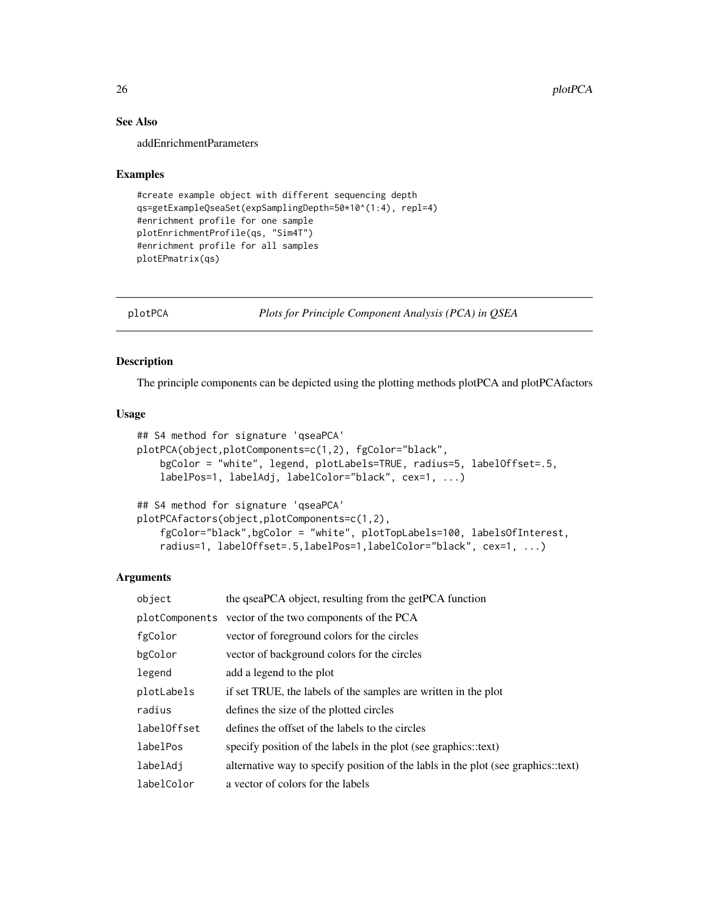# See Also

addEnrichmentParameters

#### Examples

```
#create example object with different sequencing depth
qs=getExampleQseaSet(expSamplingDepth=50*10^(1:4), repl=4)
#enrichment profile for one sample
plotEnrichmentProfile(qs, "Sim4T")
#enrichment profile for all samples
plotEPmatrix(qs)
```
plotPCA *Plots for Principle Component Analysis (PCA) in QSEA*

# Description

The principle components can be depicted using the plotting methods plotPCA and plotPCAfactors

# Usage

```
## S4 method for signature 'qseaPCA'
plotPCA(object,plotComponents=c(1,2), fgColor="black",
   bgColor = "white", legend, plotLabels=TRUE, radius=5, labelOffset=.5,
    labelPos=1, labelAdj, labelColor="black", cex=1, ...)
## S4 method for signature 'qseaPCA'
plotPCAfactors(object,plotComponents=c(1,2),
   fgColor="black",bgColor = "white", plotTopLabels=100, labelsOfInterest,
   radius=1, labelOffset=.5,labelPos=1,labelColor="black", cex=1, ...)
```
#### Arguments

| object      | the qseaPCA object, resulting from the getPCA function                            |
|-------------|-----------------------------------------------------------------------------------|
|             | plotComponents vector of the two components of the PCA                            |
| fgColor     | vector of foreground colors for the circles                                       |
| bgColor     | vector of background colors for the circles                                       |
| legend      | add a legend to the plot                                                          |
| plotLabels  | if set TRUE, the labels of the samples are written in the plot                    |
| radius      | defines the size of the plotted circles                                           |
| labelOffset | defines the offset of the labels to the circles                                   |
| labelPos    | specify position of the labels in the plot (see graphics::text)                   |
| labelAdj    | alternative way to specify position of the labls in the plot (see graphics::text) |
| labelColor  | a vector of colors for the labels                                                 |

<span id="page-25-0"></span>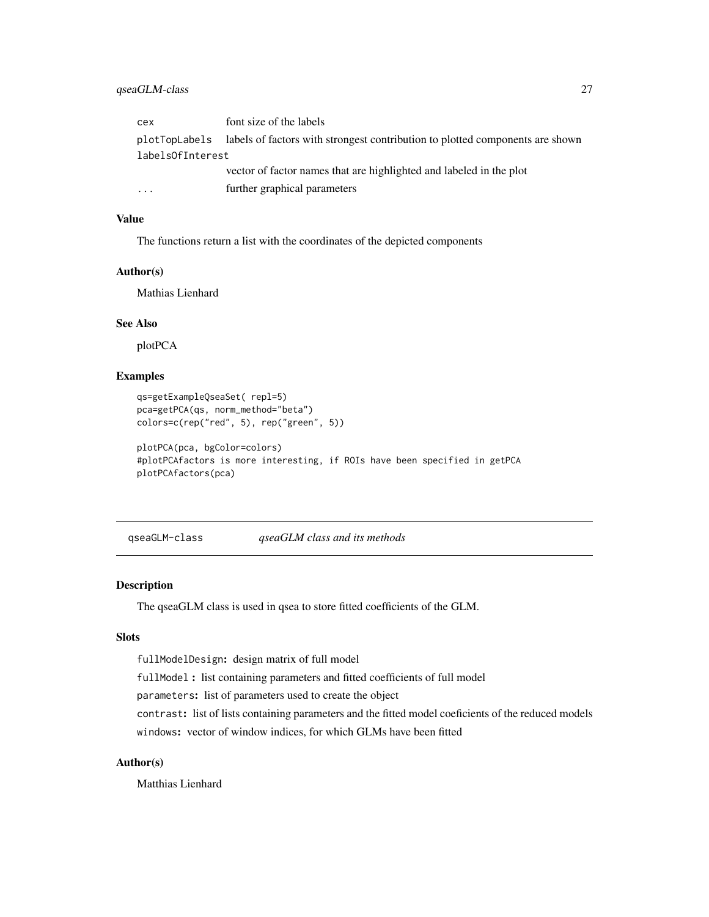# <span id="page-26-0"></span>qseaGLM-class 27

| cex              | font size of the labels                                                                     |
|------------------|---------------------------------------------------------------------------------------------|
|                  | plotTopLabels labels of factors with strongest contribution to plotted components are shown |
| labelsOfInterest |                                                                                             |
|                  | vector of factor names that are highlighted and labeled in the plot                         |
| $\cdots$         | further graphical parameters                                                                |

#### Value

The functions return a list with the coordinates of the depicted components

#### Author(s)

Mathias Lienhard

# See Also

plotPCA

# Examples

```
qs=getExampleQseaSet( repl=5)
pca=getPCA(qs, norm_method="beta")
colors=c(rep("red", 5), rep("green", 5))
```

```
plotPCA(pca, bgColor=colors)
#plotPCAfactors is more interesting, if ROIs have been specified in getPCA
plotPCAfactors(pca)
```
qseaGLM-class *qseaGLM class and its methods*

# Description

The qseaGLM class is used in qsea to store fitted coefficients of the GLM.

# Slots

fullModelDesign: design matrix of full model

fullModel : list containing parameters and fitted coefficients of full model

parameters: list of parameters used to create the object

contrast: list of lists containing parameters and the fitted model coeficients of the reduced models windows: vector of window indices, for which GLMs have been fitted

## Author(s)

Matthias Lienhard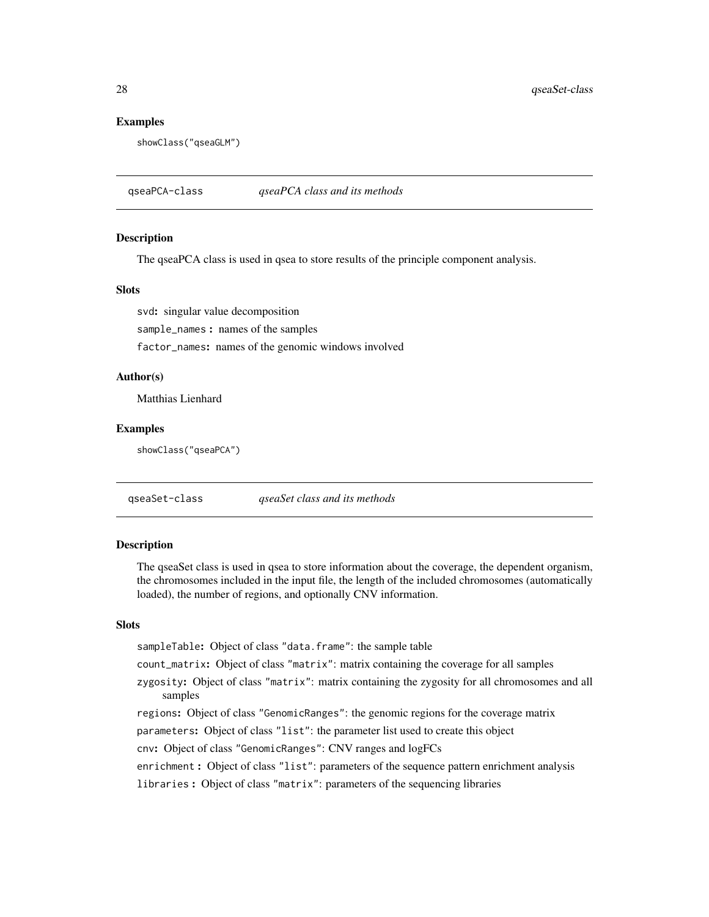#### Examples

showClass("qseaGLM")

qseaPCA-class *qseaPCA class and its methods*

#### **Description**

The qseaPCA class is used in qsea to store results of the principle component analysis.

#### **Slots**

svd: singular value decomposition sample\_names : names of the samples factor\_names: names of the genomic windows involved

# Author(s)

Matthias Lienhard

#### Examples

showClass("qseaPCA")

qseaSet-class *qseaSet class and its methods*

### Description

The qseaSet class is used in qsea to store information about the coverage, the dependent organism, the chromosomes included in the input file, the length of the included chromosomes (automatically loaded), the number of regions, and optionally CNV information.

# Slots

sampleTable: Object of class "data.frame": the sample table

count\_matrix: Object of class "matrix": matrix containing the coverage for all samples

- zygosity: Object of class "matrix": matrix containing the zygosity for all chromosomes and all samples
- regions: Object of class "GenomicRanges": the genomic regions for the coverage matrix

parameters: Object of class "list": the parameter list used to create this object

cnv: Object of class "GenomicRanges": CNV ranges and logFCs

enrichment : Object of class "list": parameters of the sequence pattern enrichment analysis

libraries : Object of class "matrix": parameters of the sequencing libraries

<span id="page-27-0"></span>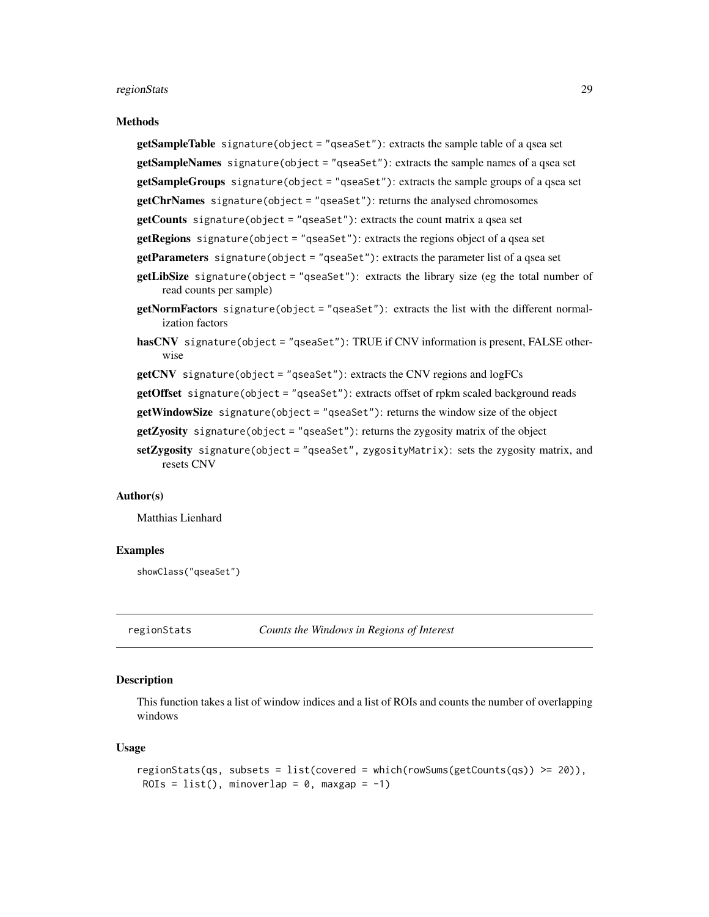#### <span id="page-28-0"></span>regionStats 29

#### **Methods**

getSampleTable signature(object = "qseaSet"): extracts the sample table of a qsea set getSampleNames signature(object = "qseaSet"): extracts the sample names of a qsea set

- $getSampleGroups$  signature(object = "qseaSet"): extracts the sample groups of a qsea set
- getChrNames signature(object = "qseaSet"): returns the analysed chromosomes
- getCounts signature(object = "qseaSet"): extracts the count matrix a qsea set
- **getRegions** signature(object = "qseaSet"): extracts the regions object of a qsea set
- getParameters signature(object = "qseaSet"): extracts the parameter list of a qsea set
- getLibSize signature(object = "qseaSet"): extracts the library size (eg the total number of read counts per sample)
- getNormFactors signature(object = "qseaSet"): extracts the list with the different normalization factors
- hasCNV signature(object = "qseaSet"): TRUE if CNV information is present, FALSE otherwise
- getCNV signature(object = "qseaSet"): extracts the CNV regions and logFCs
- getOffset signature(object = "qseaSet"): extracts offset of rpkm scaled background reads
- getWindowSize signature(object = "qseaSet"): returns the window size of the object
- getZyosity signature(object = "qseaSet"): returns the zygosity matrix of the object
- setZygosity signature(object = "qseaSet", zygosityMatrix): sets the zygosity matrix, and resets CNV

#### Author(s)

Matthias Lienhard

#### Examples

showClass("qseaSet")

regionStats *Counts the Windows in Regions of Interest*

#### **Description**

This function takes a list of window indices and a list of ROIs and counts the number of overlapping windows

#### Usage

```
regionStats(qs, subsets = list(covered = which(rowSums(getCounts(qs)) >= 20)),
ROIs = list(), minoverlap = 0, maxgap = -1)
```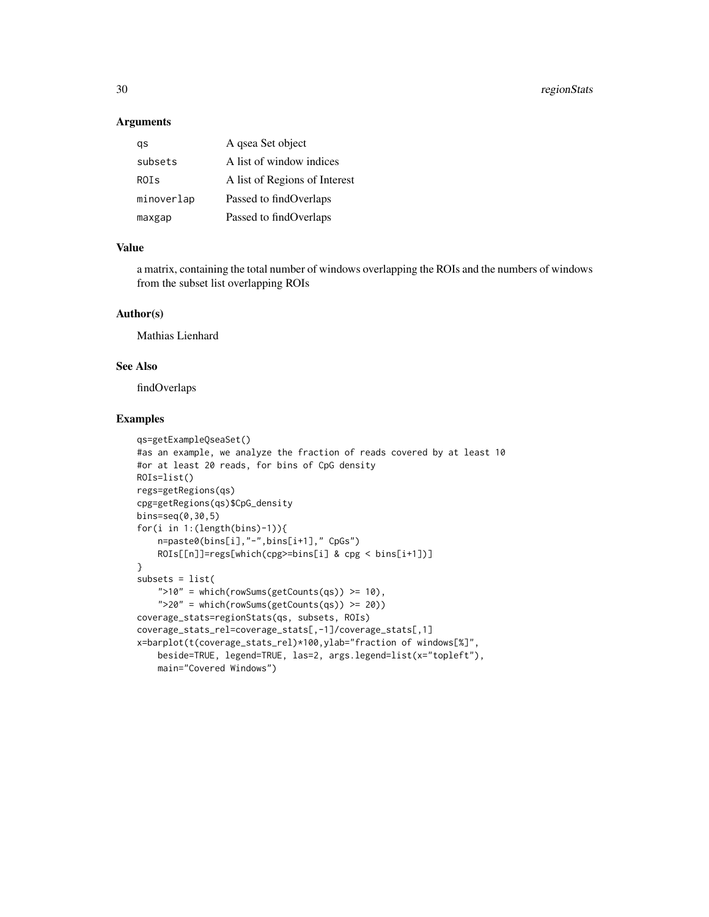30 regionStats

#### Arguments

| qs         | A qsea Set object             |
|------------|-------------------------------|
| subsets    | A list of window indices      |
| ROIs       | A list of Regions of Interest |
| minoverlap | Passed to findOverlaps        |
| maxgap     | Passed to findOverlaps        |

# Value

a matrix, containing the total number of windows overlapping the ROIs and the numbers of windows from the subset list overlapping ROIs

#### Author(s)

Mathias Lienhard

#### See Also

findOverlaps

```
qs=getExampleQseaSet()
#as an example, we analyze the fraction of reads covered by at least 10
#or at least 20 reads, for bins of CpG density
ROIs=list()
regs=getRegions(qs)
cpg=getRegions(qs)$CpG_density
bins=seq(0,30,5)
for(i in 1:(length(bins)-1)){
    n=paste0(bins[i],"-",bins[i+1]," CpGs")
    ROIs[[n]]=regs[which(cpg>=bins[i] & cpg < bins[i+1])]
}
subsets = list(
    ">=10" = which(rowSums(getCounts(qs)) >= 10,">>20" = which(rowSums(getCounts(qs)) >= 20)coverage_stats=regionStats(qs, subsets, ROIs)
coverage_stats_rel=coverage_stats[,-1]/coverage_stats[,1]
x=barplot(t(coverage_stats_rel)*100,ylab="fraction of windows[%]",
    beside=TRUE, legend=TRUE, las=2, args.legend=list(x="topleft"),
    main="Covered Windows")
```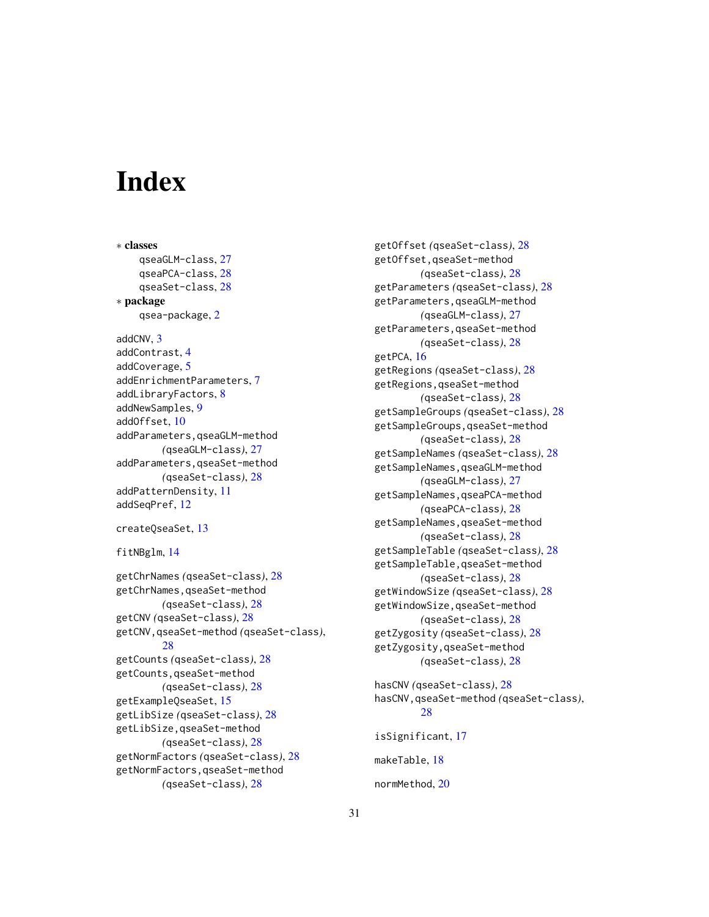# <span id="page-30-0"></span>**Index**

∗ classes qseaGLM-class, [27](#page-26-0) qseaPCA-class, [28](#page-27-0) qseaSet-class, [28](#page-27-0) ∗ package qsea-package, [2](#page-1-0) addCNV, [3](#page-2-0) addContrast, [4](#page-3-0) addCoverage, [5](#page-4-0) addEnrichmentParameters, [7](#page-6-0) addLibraryFactors, [8](#page-7-0) addNewSamples, [9](#page-8-0) addOffset, [10](#page-9-0) addParameters,qseaGLM-method *(*qseaGLM-class*)*, [27](#page-26-0) addParameters,qseaSet-method *(*qseaSet-class*)*, [28](#page-27-0) addPatternDensity, [11](#page-10-0) addSeqPref, [12](#page-11-0) createQseaSet, [13](#page-12-0) fitNBglm, [14](#page-13-0) getChrNames *(*qseaSet-class*)*, [28](#page-27-0) getChrNames,qseaSet-method *(*qseaSet-class*)*, [28](#page-27-0) getCNV *(*qseaSet-class*)*, [28](#page-27-0) getCNV,qseaSet-method *(*qseaSet-class*)*, [28](#page-27-0) getCounts *(*qseaSet-class*)*, [28](#page-27-0) getCounts,qseaSet-method *(*qseaSet-class*)*, [28](#page-27-0) getExampleQseaSet, [15](#page-14-0) getLibSize *(*qseaSet-class*)*, [28](#page-27-0) getLibSize,qseaSet-method *(*qseaSet-class*)*, [28](#page-27-0) getNormFactors *(*qseaSet-class*)*, [28](#page-27-0) getNormFactors,qseaSet-method *(*qseaSet-class*)*, [28](#page-27-0)

getOffset *(*qseaSet-class*)*, [28](#page-27-0) getOffset,qseaSet-method *(*qseaSet-class*)*, [28](#page-27-0) getParameters *(*qseaSet-class*)*, [28](#page-27-0) getParameters,qseaGLM-method *(*qseaGLM-class*)*, [27](#page-26-0) getParameters,qseaSet-method *(*qseaSet-class*)*, [28](#page-27-0) getPCA, [16](#page-15-0) getRegions *(*qseaSet-class*)*, [28](#page-27-0) getRegions,qseaSet-method *(*qseaSet-class*)*, [28](#page-27-0) getSampleGroups *(*qseaSet-class*)*, [28](#page-27-0) getSampleGroups,qseaSet-method *(*qseaSet-class*)*, [28](#page-27-0) getSampleNames *(*qseaSet-class*)*, [28](#page-27-0) getSampleNames,qseaGLM-method *(*qseaGLM-class*)*, [27](#page-26-0) getSampleNames,qseaPCA-method *(*qseaPCA-class*)*, [28](#page-27-0) getSampleNames,qseaSet-method *(*qseaSet-class*)*, [28](#page-27-0) getSampleTable *(*qseaSet-class*)*, [28](#page-27-0) getSampleTable,qseaSet-method *(*qseaSet-class*)*, [28](#page-27-0) getWindowSize *(*qseaSet-class*)*, [28](#page-27-0) getWindowSize,qseaSet-method *(*qseaSet-class*)*, [28](#page-27-0) getZygosity *(*qseaSet-class*)*, [28](#page-27-0) getZygosity,qseaSet-method *(*qseaSet-class*)*, [28](#page-27-0) hasCNV *(*qseaSet-class*)*, [28](#page-27-0) hasCNV,qseaSet-method *(*qseaSet-class*)*, [28](#page-27-0)

isSignificant, [17](#page-16-0) makeTable, [18](#page-17-0) normMethod, [20](#page-19-0)